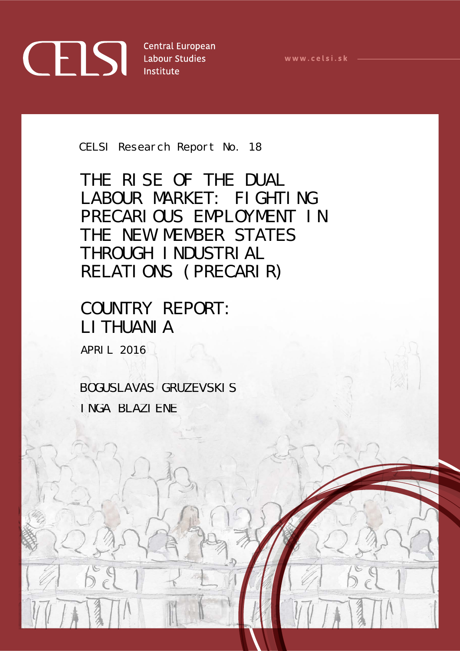## **CELS** Central Europea

**Central European** 

www.celsi.sk -

CELSI Research Report No. 18

THE RISE OF THE DUAL LABOUR MARKET: FIGHTING PRECARIOUS EMPLOYMENT IN THE NEW MEMBER STATES THROUGH INDUSTRIAL RELATIONS (PRECARIR)

## COUNTRY REPORT: LITHUANIA

APRIL 2016

BOGUSLAVAS GRUZEVSKIS INGA BLAZIENE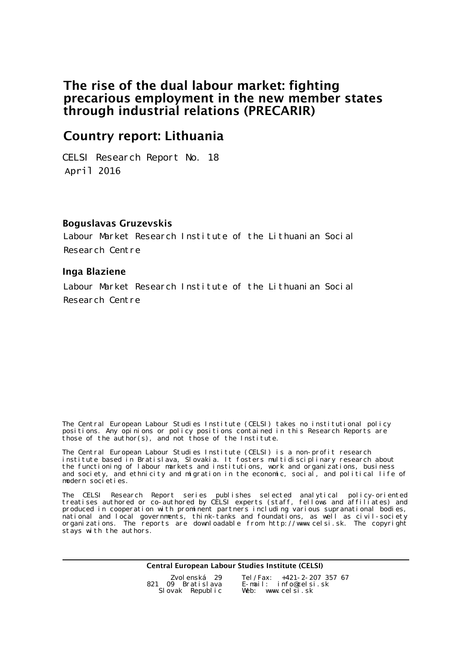#### The rise of the dual labour market: fighting precarious employment in the new member states through industrial relations (PRECARIR)

#### Country report: Lithuania

April 2016 CELSI Research Report No. 18

#### Boguslavas Gruzevskis

Labour Market Research Institute of the Lithuanian Social Research Centre

#### Inga Blaziene

Labour Market Research Institute of the Lithuanian Social Research Centre

The Central European Labour Studies Institute (CELSI) takes no institutional policy positions. Any opinions or policy positions contained in this Research Reports are those of the author(s), and not those of the Institute.

The Central European Labour Studies Institute (CELSI) is a non-profit research institute based in Bratislava, Slovakia. It fosters multidisciplinary research about the functioning of labour markets and institutions, work and organizations, business and society, and ethnicity and migration in the economic, social, and political life of modern societies.

The CELSI Research Report series publishes selected analytical policy-oriented treatises authored or co-authored by CELSI experts (staff, fellows and affiliates) and produced in cooperation with prominent partners including various supranational bodies, national and local governments, think-tanks and foundations, as well as civil-society organizations. The reports are downloadable from http://www.celsi.sk. The copyright stays with the authors.

Central European Labour Studies Institute (CELSI)

| Zvolenská 29      | Tel /Fax: $+421-2-207$ 357 67 |
|-------------------|-------------------------------|
| 821 09 Bratislava | E-mail: info@celsi.sk         |
| Slovak Republic   | Web: www.celsi.sk             |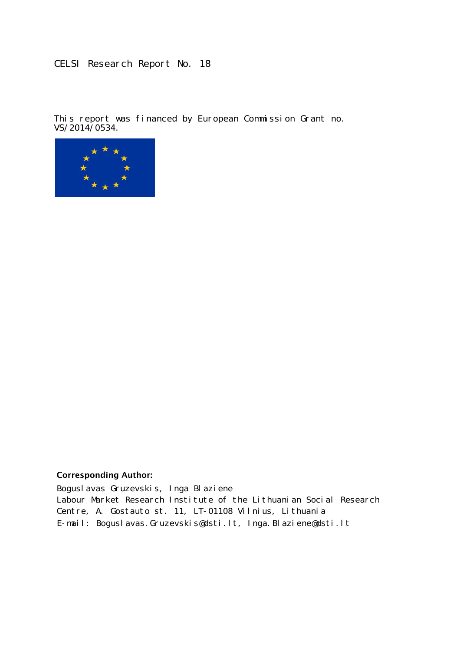#### CELSI Research Report No. 18

This report was financed by European Commission Grant no.  $\sqrt{\frac{15016}{14}}$ 



#### **Corresponding Author:**

Boguslavas Gruzevskis, Inga Blaziene Labour Market Research Institute of the Lithuanian Social Research Centre, A. Gostauto st. 11, LT-01108 Vilnius, Lithuania E-mail: Boguslavas. Gruzevski s@dsti.lt, Inga. Blazi ene@dsti.lt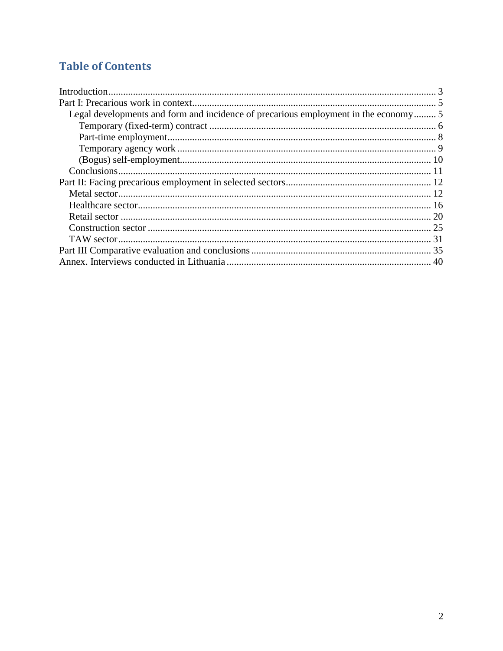### **Table of Contents**

| Legal developments and form and incidence of precarious employment in the economy 5 |  |
|-------------------------------------------------------------------------------------|--|
|                                                                                     |  |
|                                                                                     |  |
|                                                                                     |  |
|                                                                                     |  |
|                                                                                     |  |
|                                                                                     |  |
|                                                                                     |  |
|                                                                                     |  |
|                                                                                     |  |
|                                                                                     |  |
|                                                                                     |  |
|                                                                                     |  |
|                                                                                     |  |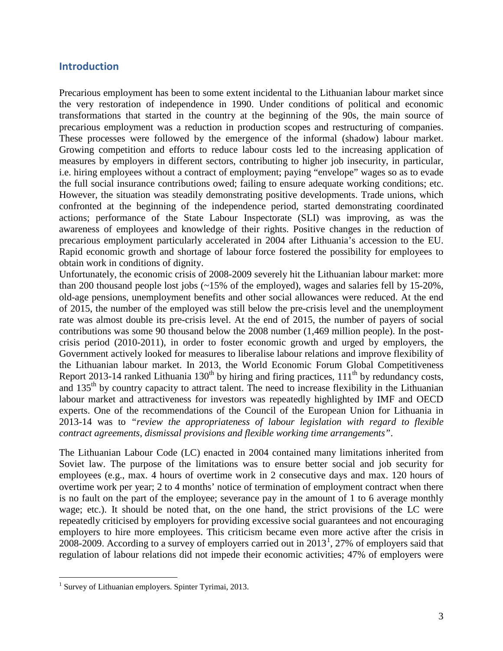#### <span id="page-4-0"></span>**Introduction**

Precarious employment has been to some extent incidental to the Lithuanian labour market since the very restoration of independence in 1990. Under conditions of political and economic transformations that started in the country at the beginning of the 90s, the main source of precarious employment was a reduction in production scopes and restructuring of companies. These processes were followed by the emergence of the informal (shadow) labour market. Growing competition and efforts to reduce labour costs led to the increasing application of measures by employers in different sectors, contributing to higher job insecurity, in particular, i.e. hiring employees without a contract of employment; paying "envelope" wages so as to evade the full social insurance contributions owed; failing to ensure adequate working conditions; etc. However, the situation was steadily demonstrating positive developments. Trade unions, which confronted at the beginning of the independence period, started demonstrating coordinated actions; performance of the State Labour Inspectorate (SLI) was improving, as was the awareness of employees and knowledge of their rights. Positive changes in the reduction of precarious employment particularly accelerated in 2004 after Lithuania's accession to the EU. Rapid economic growth and shortage of labour force fostered the possibility for employees to obtain work in conditions of dignity.

Unfortunately, the economic crisis of 2008-2009 severely hit the Lithuanian labour market: more than 200 thousand people lost jobs (~15% of the employed), wages and salaries fell by 15-20%, old-age pensions, unemployment benefits and other social allowances were reduced. At the end of 2015, the number of the employed was still below the pre-crisis level and the unemployment rate was almost double its pre-crisis level. At the end of 2015, the number of payers of social contributions was some 90 thousand below the 2008 number (1,469 million people). In the postcrisis period (2010-2011), in order to foster economic growth and urged by employers, the Government actively looked for measures to liberalise labour relations and improve flexibility of the Lithuanian labour market. In 2013, the World Economic Forum Global Competitiveness Report 2013-14 ranked Lithuania 130<sup>th</sup> by hiring and firing practices,  $111<sup>th</sup>$  by redundancy costs, and  $135<sup>th</sup>$  by country capacity to attract talent. The need to increase flexibility in the Lithuanian labour market and attractiveness for investors was repeatedly highlighted by IMF and OECD experts. One of the recommendations of the Council of the European Union for Lithuania in 2013-14 was to *"review the appropriateness of labour legislation with regard to flexible contract agreements, dismissal provisions and flexible working time arrangements"*.

The Lithuanian Labour Code (LC) enacted in 2004 contained many limitations inherited from Soviet law. The purpose of the limitations was to ensure better social and job security for employees (e.g., max. 4 hours of overtime work in 2 consecutive days and max. 120 hours of overtime work per year; 2 to 4 months' notice of termination of employment contract when there is no fault on the part of the employee; severance pay in the amount of 1 to 6 average monthly wage; etc.). It should be noted that, on the one hand, the strict provisions of the LC were repeatedly criticised by employers for providing excessive social guarantees and not encouraging employers to hire more employees. This criticism became even more active after the crisis in 2008-2009. According to a survey of employers carried out in  $2013<sup>1</sup>$  $2013<sup>1</sup>$  $2013<sup>1</sup>$ , 27% of employers said that regulation of labour relations did not impede their economic activities; 47% of employers were

 $\overline{a}$ 

<span id="page-4-1"></span><sup>&</sup>lt;sup>1</sup> Survey of Lithuanian employers. Spinter Tyrimai, 2013.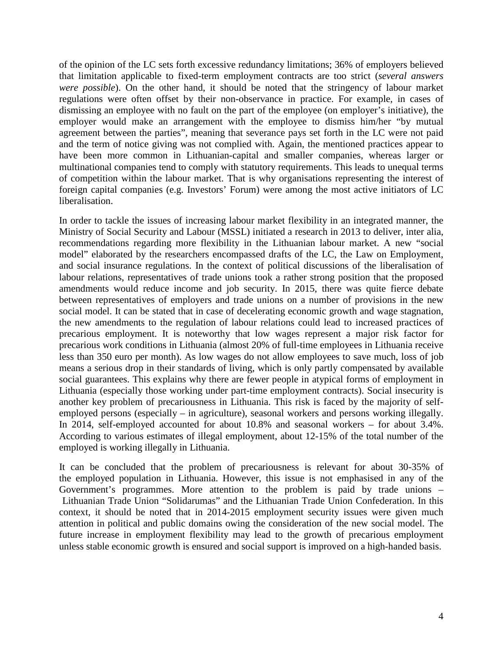of the opinion of the LC sets forth excessive redundancy limitations; 36% of employers believed that limitation applicable to fixed-term employment contracts are too strict (*several answers were possible*). On the other hand, it should be noted that the stringency of labour market regulations were often offset by their non-observance in practice. For example, in cases of dismissing an employee with no fault on the part of the employee (on employer's initiative), the employer would make an arrangement with the employee to dismiss him/her "by mutual agreement between the parties", meaning that severance pays set forth in the LC were not paid and the term of notice giving was not complied with. Again, the mentioned practices appear to have been more common in Lithuanian-capital and smaller companies, whereas larger or multinational companies tend to comply with statutory requirements. This leads to unequal terms of competition within the labour market. That is why organisations representing the interest of foreign capital companies (e.g. Investors' Forum) were among the most active initiators of LC liberalisation.

In order to tackle the issues of increasing labour market flexibility in an integrated manner, the Ministry of Social Security and Labour (MSSL) initiated a research in 2013 to deliver, inter alia, recommendations regarding more flexibility in the Lithuanian labour market. A new "social model" elaborated by the researchers encompassed drafts of the LC, the Law on Employment, and social insurance regulations. In the context of political discussions of the liberalisation of labour relations, representatives of trade unions took a rather strong position that the proposed amendments would reduce income and job security. In 2015, there was quite fierce debate between representatives of employers and trade unions on a number of provisions in the new social model. It can be stated that in case of decelerating economic growth and wage stagnation, the new amendments to the regulation of labour relations could lead to increased practices of precarious employment. It is noteworthy that low wages represent a major risk factor for precarious work conditions in Lithuania (almost 20% of full-time employees in Lithuania receive less than 350 euro per month). As low wages do not allow employees to save much, loss of job means a serious drop in their standards of living, which is only partly compensated by available social guarantees. This explains why there are fewer people in atypical forms of employment in Lithuania (especially those working under part-time employment contracts). Social insecurity is another key problem of precariousness in Lithuania. This risk is faced by the majority of selfemployed persons (especially – in agriculture), seasonal workers and persons working illegally. In 2014, self-employed accounted for about 10.8% and seasonal workers – for about 3.4%. According to various estimates of illegal employment, about 12-15% of the total number of the employed is working illegally in Lithuania.

It can be concluded that the problem of precariousness is relevant for about 30-35% of the employed population in Lithuania. However, this issue is not emphasised in any of the Government's programmes. More attention to the problem is paid by trade unions – Lithuanian Trade Union "Solidarumas" and the Lithuanian Trade Union Confederation. In this context, it should be noted that in 2014-2015 employment security issues were given much attention in political and public domains owing the consideration of the new social model. The future increase in employment flexibility may lead to the growth of precarious employment unless stable economic growth is ensured and social support is improved on a high-handed basis.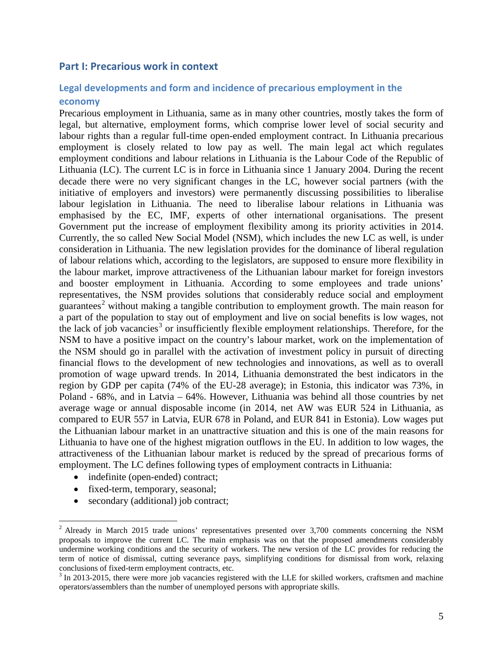#### <span id="page-6-0"></span>**Part I: Precarious work in context**

## <span id="page-6-1"></span>**Legal developments and form and incidence of precarious employment in the**

#### **economy**

Precarious employment in Lithuania, same as in many other countries, mostly takes the form of legal, but alternative, employment forms, which comprise lower level of social security and labour rights than a regular full-time open-ended employment contract. In Lithuania precarious employment is closely related to low pay as well. The main legal act which regulates employment conditions and labour relations in Lithuania is the Labour Code of the Republic of Lithuania (LC). The current LC is in force in Lithuania since 1 January 2004. During the recent decade there were no very significant changes in the LC, however social partners (with the initiative of employers and investors) were permanently discussing possibilities to liberalise labour legislation in Lithuania. The need to liberalise labour relations in Lithuania was emphasised by the EC, IMF, experts of other international organisations. The present Government put the increase of employment flexibility among its priority activities in 2014. Currently, the so called New Social Model (NSM), which includes the new LC as well, is under consideration in Lithuania. The new legislation provides for the dominance of liberal regulation of labour relations which, according to the legislators, are supposed to ensure more flexibility in the labour market, improve attractiveness of the Lithuanian labour market for foreign investors and booster employment in Lithuania. According to some employees and trade unions' representatives, the NSM provides solutions that considerably reduce social and employment guarantees<sup>[2](#page-6-2)</sup> without making a tangible contribution to employment growth. The main reason for a part of the population to stay out of employment and live on social benefits is low wages, not the lack of job vacancies<sup>[3](#page-6-3)</sup> or insufficiently flexible employment relationships. Therefore, for the NSM to have a positive impact on the country's labour market, work on the implementation of the NSM should go in parallel with the activation of investment policy in pursuit of directing financial flows to the development of new technologies and innovations, as well as to overall promotion of wage upward trends. In 2014, Lithuania demonstrated the best indicators in the region by GDP per capita (74% of the EU-28 average); in Estonia, this indicator was 73%, in Poland - 68%, and in Latvia – 64%. However, Lithuania was behind all those countries by net average wage or annual disposable income (in 2014, net AW was EUR 524 in Lithuania, as compared to EUR 557 in Latvia, EUR 678 in Poland, and EUR 841 in Estonia). Low wages put the Lithuanian labour market in an unattractive situation and this is one of the main reasons for Lithuania to have one of the highest migration outflows in the EU. In addition to low wages, the attractiveness of the Lithuanian labour market is reduced by the spread of precarious forms of employment. The LC defines following types of employment contracts in Lithuania:

- indefinite (open-ended) contract;
- fixed-term, temporary, seasonal;

 $\overline{a}$ 

• secondary (additional) job contract;

<span id="page-6-2"></span><sup>&</sup>lt;sup>2</sup> Already in March 2015 trade unions' representatives presented over 3,700 comments concerning the NSM proposals to improve the current LC. The main emphasis was on that the proposed amendments considerably undermine working conditions and the security of workers. The new version of the LC provides for reducing the term of notice of dismissal, cutting severance pays, simplifying conditions for dismissal from work, relaxing

<span id="page-6-3"></span> $3$  In 2013-2015, there were more job vacancies registered with the LLE for skilled workers, craftsmen and machine operators/assemblers than the number of unemployed persons with appropriate skills.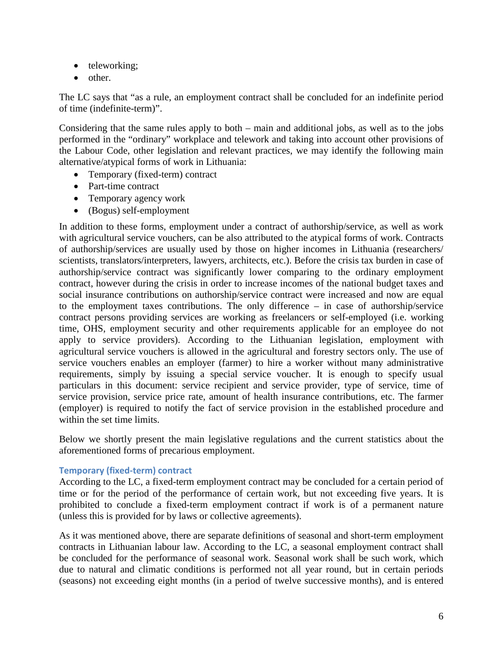- teleworking;
- other.

The LC says that "as a rule, an employment contract shall be concluded for an indefinite period of time (indefinite-term)".

Considering that the same rules apply to both – main and additional jobs, as well as to the jobs performed in the "ordinary" workplace and telework and taking into account other provisions of the Labour Code, other legislation and relevant practices, we may identify the following main alternative/atypical forms of work in Lithuania:

- Temporary (fixed-term) contract
- Part-time contract
- Temporary agency work
- (Bogus) self-employment

In addition to these forms, employment under a contract of authorship/service, as well as work with agricultural service vouchers, can be also attributed to the atypical forms of work. Contracts of authorship/services are usually used by those on higher incomes in Lithuania (researchers/ scientists, translators/interpreters, lawyers, architects, etc.). Before the crisis tax burden in case of authorship/service contract was significantly lower comparing to the ordinary employment contract, however during the crisis in order to increase incomes of the national budget taxes and social insurance contributions on authorship/service contract were increased and now are equal to the employment taxes contributions. The only difference – in case of authorship/service contract persons providing services are working as freelancers or self-employed (i.e. working time, OHS, employment security and other requirements applicable for an employee do not apply to service providers). According to the Lithuanian legislation, employment with agricultural service vouchers is allowed in the agricultural and forestry sectors only. The use of service vouchers enables an employer (farmer) to hire a worker without many administrative requirements, simply by issuing a special service voucher. It is enough to specify usual particulars in this document: service recipient and service provider, type of service, time of service provision, service price rate, amount of health insurance contributions, etc. The farmer (employer) is required to notify the fact of service provision in the established procedure and within the set time limits.

Below we shortly present the main legislative regulations and the current statistics about the aforementioned forms of precarious employment.

#### <span id="page-7-0"></span>**Temporary (fixed-term) contract**

According to the LC, a fixed-term employment contract may be concluded for a certain period of time or for the period of the performance of certain work, but not exceeding five years. It is prohibited to conclude a fixed-term employment contract if work is of a permanent nature (unless this is provided for by laws or collective agreements).

As it was mentioned above, there are separate definitions of seasonal and short-term employment contracts in Lithuanian labour law. According to the LC, a seasonal employment contract shall be concluded for the performance of seasonal work. Seasonal work shall be such work, which due to natural and climatic conditions is performed not all year round, but in certain periods (seasons) not exceeding eight months (in a period of twelve successive months), and is entered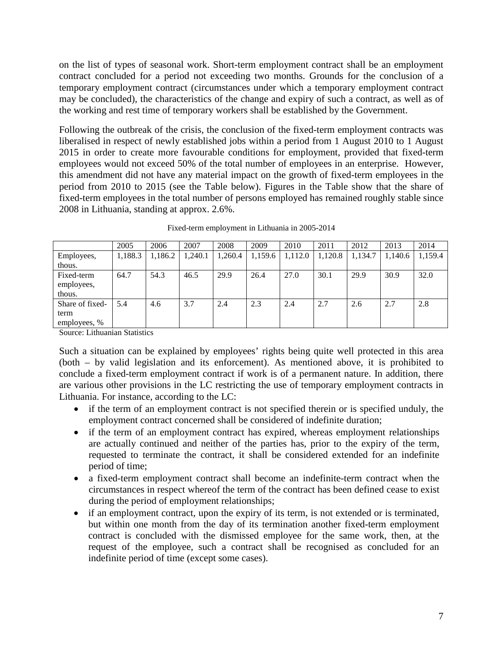on the list of types of seasonal work. Short-term employment contract shall be an employment contract concluded for a period not exceeding two months. Grounds for the conclusion of a temporary employment contract (circumstances under which a temporary employment contract may be concluded), the characteristics of the change and expiry of such a contract, as well as of the working and rest time of temporary workers shall be established by the Government.

Following the outbreak of the crisis, the conclusion of the fixed-term employment contracts was liberalised in respect of newly established jobs within a period from 1 August 2010 to 1 August 2015 in order to create more favourable conditions for employment, provided that fixed-term employees would not exceed 50% of the total number of employees in an enterprise. However, this amendment did not have any material impact on the growth of fixed-term employees in the period from 2010 to 2015 (see the Table below). Figures in the Table show that the share of fixed-term employees in the total number of persons employed has remained roughly stable since 2008 in Lithuania, standing at approx. 2.6%.

|                 | 2005    | 2006    | 2007    | 2008    | 2009    | 2010    | 2011    | 2012    | 2013    | 2014    |
|-----------------|---------|---------|---------|---------|---------|---------|---------|---------|---------|---------|
| Employees,      | 1,188.3 | 1,186.2 | 1,240.1 | 1,260.4 | 1,159.6 | 1,112.0 | 1,120.8 | 1,134.7 | 1,140.6 | 1,159.4 |
| thous.          |         |         |         |         |         |         |         |         |         |         |
| Fixed-term      | 64.7    | 54.3    | 46.5    | 29.9    | 26.4    | 27.0    | 30.1    | 29.9    | 30.9    | 32.0    |
| employees,      |         |         |         |         |         |         |         |         |         |         |
| thous.          |         |         |         |         |         |         |         |         |         |         |
| Share of fixed- | 5.4     | 4.6     | 3.7     | 2.4     | 2.3     | 2.4     | 2.7     | 2.6     | 2.7     | 2.8     |
| term            |         |         |         |         |         |         |         |         |         |         |
| employees, %    |         |         |         |         |         |         |         |         |         |         |

Fixed-term employment in Lithuania in 2005-2014

Source: Lithuanian Statistics

Such a situation can be explained by employees' rights being quite well protected in this area (both – by valid legislation and its enforcement). As mentioned above, it is prohibited to conclude a fixed-term employment contract if work is of a permanent nature. In addition, there are various other provisions in the LC restricting the use of temporary employment contracts in Lithuania. For instance, according to the LC:

- if the term of an employment contract is not specified therein or is specified unduly, the employment contract concerned shall be considered of indefinite duration;
- if the term of an employment contract has expired, whereas employment relationships are actually continued and neither of the parties has, prior to the expiry of the term, requested to terminate the contract, it shall be considered extended for an indefinite period of time;
- a fixed-term employment contract shall become an indefinite-term contract when the circumstances in respect whereof the term of the contract has been defined cease to exist during the period of employment relationships;
- if an employment contract, upon the expiry of its term, is not extended or is terminated, but within one month from the day of its termination another fixed-term employment contract is concluded with the dismissed employee for the same work, then, at the request of the employee, such a contract shall be recognised as concluded for an indefinite period of time (except some cases).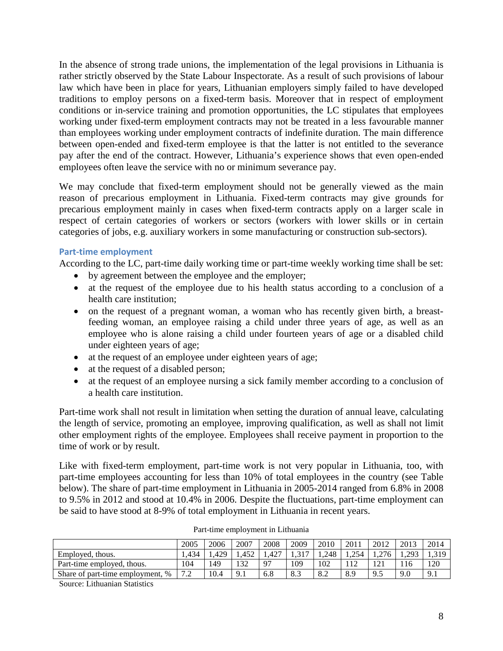In the absence of strong trade unions, the implementation of the legal provisions in Lithuania is rather strictly observed by the State Labour Inspectorate. As a result of such provisions of labour law which have been in place for years, Lithuanian employers simply failed to have developed traditions to employ persons on a fixed-term basis. Moreover that in respect of employment conditions or in-service training and promotion opportunities, the LC stipulates that employees working under fixed-term employment contracts may not be treated in a less favourable manner than employees working under employment contracts of indefinite duration. The main difference between open-ended and fixed-term employee is that the latter is not entitled to the severance pay after the end of the contract. However, Lithuania's experience shows that even open-ended employees often leave the service with no or minimum severance pay.

We may conclude that fixed-term employment should not be generally viewed as the main reason of precarious employment in Lithuania. Fixed-term contracts may give grounds for precarious employment mainly in cases when fixed-term contracts apply on a larger scale in respect of certain categories of workers or sectors (workers with lower skills or in certain categories of jobs, e.g. auxiliary workers in some manufacturing or construction sub-sectors).

#### <span id="page-9-0"></span>**Part-time employment**

According to the LC, part-time daily working time or part-time weekly working time shall be set:

- by agreement between the employee and the employer;
- at the request of the employee due to his health status according to a conclusion of a health care institution;
- on the request of a pregnant woman, a woman who has recently given birth, a breastfeeding woman, an employee raising a child under three years of age, as well as an employee who is alone raising a child under fourteen years of age or a disabled child under eighteen years of age;
- at the request of an employee under eighteen years of age;
- at the request of a disabled person;
- at the request of an employee nursing a sick family member according to a conclusion of a health care institution.

Part-time work shall not result in limitation when setting the duration of annual leave, calculating the length of service, promoting an employee, improving qualification, as well as shall not limit other employment rights of the employee. Employees shall receive payment in proportion to the time of work or by result.

Like with fixed-term employment, part-time work is not very popular in Lithuania, too, with part-time employees accounting for less than 10% of total employees in the country (see Table below). The share of part-time employment in Lithuania in 2005-2014 ranged from 6.8% in 2008 to 9.5% in 2012 and stood at 10.4% in 2006. Despite the fluctuations, part-time employment can be said to have stood at 8-9% of total employment in Lithuania in recent years.

|                                  | 2005                                       | 2006 | 2007  | 2008 | 2009 | 2010 | 2011     | 2012                | 2013 | 2014            |
|----------------------------------|--------------------------------------------|------|-------|------|------|------|----------|---------------------|------|-----------------|
| Employed, thous.                 | .434                                       | .429 | 1.452 | .427 |      | .248 | 254      | 276<br>.            | วดว  | 310             |
| Part-time employed, thous.       | 104                                        | .49  | 122   | 97   | 109  | 102  | $1 \cap$ | $\sqrt{21}$<br>- 1  |      | 120             |
| Share of part-time employment, % | $\overline{ }$<br>$\overline{\phantom{a}}$ | '0.4 | 9.1   | 6.8  | د.ه  | 8.2  | 8.9      | $\mathbf Q$<br>ر. ر | 9.0  | $\Omega$<br>フェエ |

| Part-time employment in Lithuania |  |
|-----------------------------------|--|
|-----------------------------------|--|

Source: Lithuanian Statistics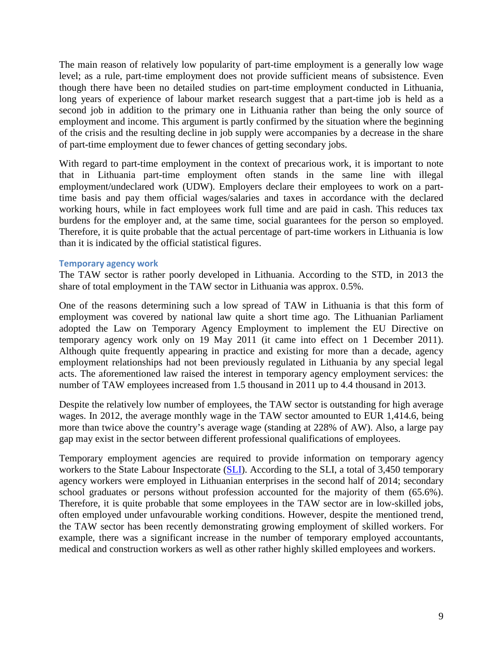The main reason of relatively low popularity of part-time employment is a generally low wage level; as a rule, part-time employment does not provide sufficient means of subsistence. Even though there have been no detailed studies on part-time employment conducted in Lithuania, long years of experience of labour market research suggest that a part-time job is held as a second job in addition to the primary one in Lithuania rather than being the only source of employment and income. This argument is partly confirmed by the situation where the beginning of the crisis and the resulting decline in job supply were accompanies by a decrease in the share of part-time employment due to fewer chances of getting secondary jobs.

With regard to part-time employment in the context of precarious work, it is important to note that in Lithuania part-time employment often stands in the same line with illegal employment/undeclared work (UDW). Employers declare their employees to work on a parttime basis and pay them official wages/salaries and taxes in accordance with the declared working hours, while in fact employees work full time and are paid in cash. This reduces tax burdens for the employer and, at the same time, social guarantees for the person so employed. Therefore, it is quite probable that the actual percentage of part-time workers in Lithuania is low than it is indicated by the official statistical figures.

#### <span id="page-10-0"></span>**Temporary agency work**

The TAW sector is rather poorly developed in Lithuania. According to the STD, in 2013 the share of total employment in the TAW sector in Lithuania was approx. 0.5%.

One of the reasons determining such a low spread of TAW in Lithuania is that this form of employment was covered by national law quite a short time ago. The Lithuanian Parliament adopted the Law on Temporary Agency Employment to implement the EU Directive on temporary agency work only on 19 May 2011 (it came into effect on 1 December 2011). Although quite frequently appearing in practice and existing for more than a decade, agency employment relationships had not been previously regulated in Lithuania by any special legal acts. The aforementioned law raised the interest in temporary agency employment services: the number of TAW employees increased from 1.5 thousand in 2011 up to 4.4 thousand in 2013.

Despite the relatively low number of employees, the TAW sector is outstanding for high average wages. In 2012, the average monthly wage in the TAW sector amounted to EUR 1,414.6, being more than twice above the country's average wage (standing at 228% of AW). Also, a large pay gap may exist in the sector between different professional qualifications of employees.

Temporary employment agencies are required to provide information on temporary agency workers to the State Labour Inspectorate [\(SLI\)](http://www.vdi.lt/). According to the SLI, a total of 3,450 temporary agency workers were employed in Lithuanian enterprises in the second half of 2014; secondary school graduates or persons without profession accounted for the majority of them (65.6%). Therefore, it is quite probable that some employees in the TAW sector are in low-skilled jobs, often employed under unfavourable working conditions. However, despite the mentioned trend, the TAW sector has been recently demonstrating growing employment of skilled workers. For example, there was a significant increase in the number of temporary employed accountants, medical and construction workers as well as other rather highly skilled employees and workers.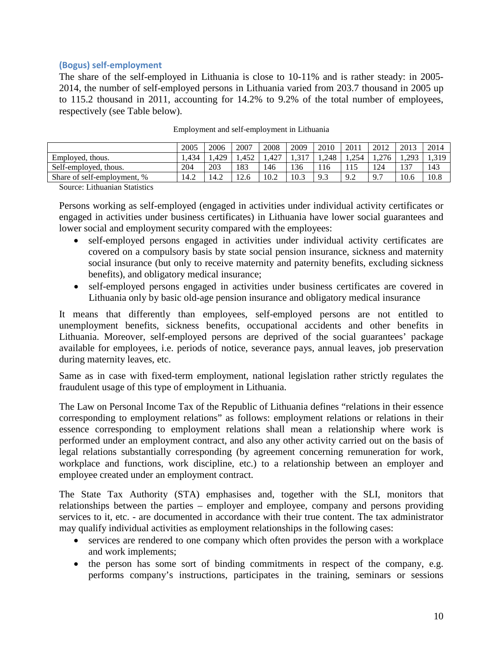#### <span id="page-11-0"></span>**(Bogus) self-employment**

The share of the self-employed in Lithuania is close to 10-11% and is rather steady: in 2005- 2014, the number of self-employed persons in Lithuania varied from 203.7 thousand in 2005 up to 115.2 thousand in 2011, accounting for 14.2% to 9.2% of the total number of employees, respectively (see Table below).

|                             | 2005 | 2006 | 2007  | 2008 | 2009 | 2010  | 2011         | 2012           | 2013         | 2014   |
|-----------------------------|------|------|-------|------|------|-------|--------------|----------------|--------------|--------|
| Employed, thous.            | .434 | .429 | 1.452 | .427 |      | 1.248 | 254<br>ا∼ل∠ن | .276           | 203<br>1.475 | 1, JIJ |
| Self-employed, thous.       | 204  | 203  | 183   | 146  | 136  |       |              | 124            | 137          | 143    |
| Share of self-employment, % | 14.2 | 14.2 | 12.6  | 10.2 | 10.3 | 9.3   | 9.2          | Q <sub>7</sub> | 10.6         | 10.8   |

| Employment and self-employment in Lithuania |  |
|---------------------------------------------|--|

Source: Lithuanian Statistics

Persons working as self-employed (engaged in activities under individual activity certificates or engaged in activities under business certificates) in Lithuania have lower social guarantees and lower social and employment security compared with the employees:

- self-employed persons engaged in activities under individual activity certificates are covered on a compulsory basis by state social pension insurance, sickness and maternity social insurance (but only to receive maternity and paternity benefits, excluding sickness benefits), and obligatory medical insurance;
- self-employed persons engaged in activities under business certificates are covered in Lithuania only by basic old-age pension insurance and obligatory medical insurance

It means that differently than employees, self-employed persons are not entitled to unemployment benefits, sickness benefits, occupational accidents and other benefits in Lithuania. Moreover, self-employed persons are deprived of the social guarantees' package available for employees, i.e. periods of notice, severance pays, annual leaves, job preservation during maternity leaves, etc.

Same as in case with fixed-term employment, national legislation rather strictly regulates the fraudulent usage of this type of employment in Lithuania.

The Law on Personal Income Tax of the Republic of Lithuania defines "relations in their essence corresponding to employment relations" as follows: employment relations or relations in their essence corresponding to employment relations shall mean a relationship where work is performed under an employment contract, and also any other activity carried out on the basis of legal relations substantially corresponding (by agreement concerning remuneration for work, workplace and functions, work discipline, etc.) to a relationship between an employer and employee created under an employment contract.

The State Tax Authority (STA) emphasises and, together with the SLI, monitors that relationships between the parties – employer and employee, company and persons providing services to it, etc. - are documented in accordance with their true content. The tax administrator may qualify individual activities as employment relationships in the following cases:

- services are rendered to one company which often provides the person with a workplace and work implements;
- the person has some sort of binding commitments in respect of the company, e.g. performs company's instructions, participates in the training, seminars or sessions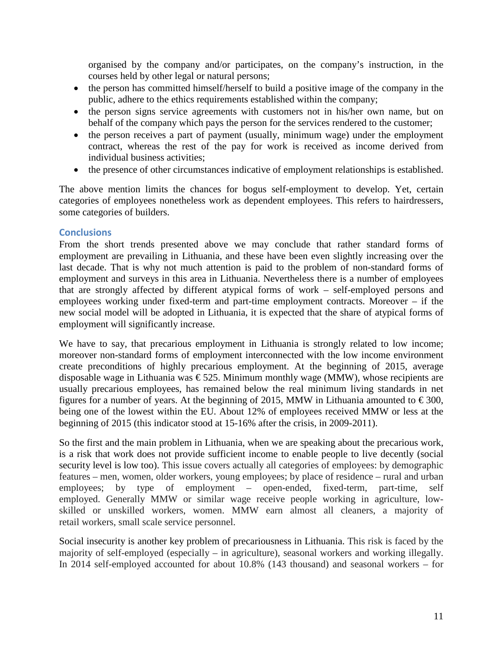organised by the company and/or participates, on the company's instruction, in the courses held by other legal or natural persons;

- the person has committed himself/herself to build a positive image of the company in the public, adhere to the ethics requirements established within the company;
- the person signs service agreements with customers not in his/her own name, but on behalf of the company which pays the person for the services rendered to the customer;
- the person receives a part of payment (usually, minimum wage) under the employment contract, whereas the rest of the pay for work is received as income derived from individual business activities;
- the presence of other circumstances indicative of employment relationships is established.

The above mention limits the chances for bogus self-employment to develop. Yet, certain categories of employees nonetheless work as dependent employees. This refers to hairdressers, some categories of builders.

#### <span id="page-12-0"></span>**Conclusions**

From the short trends presented above we may conclude that rather standard forms of employment are prevailing in Lithuania, and these have been even slightly increasing over the last decade. That is why not much attention is paid to the problem of non-standard forms of employment and surveys in this area in Lithuania. Nevertheless there is a number of employees that are strongly affected by different atypical forms of work – self-employed persons and employees working under fixed-term and part-time employment contracts. Moreover – if the new social model will be adopted in Lithuania, it is expected that the share of atypical forms of employment will significantly increase.

We have to say, that precarious employment in Lithuania is strongly related to low income; moreover non-standard forms of employment interconnected with the low income environment create preconditions of highly precarious employment. At the beginning of 2015, average disposable wage in Lithuania was  $\epsilon$ 525. Minimum monthly wage (MMW), whose recipients are usually precarious employees, has remained below the real minimum living standards in net figures for a number of years. At the beginning of 2015, MMW in Lithuania amounted to  $\epsilon$ 300, being one of the lowest within the EU. About 12% of employees received MMW or less at the beginning of 2015 (this indicator stood at 15-16% after the crisis, in 2009-2011).

So the first and the main problem in Lithuania, when we are speaking about the precarious work, is a risk that work does not provide sufficient income to enable people to live decently (social security level is low too). This issue covers actually all categories of employees: by demographic features – men, women, older workers, young employees; by place of residence – rural and urban employees; by type of employment – open-ended, fixed-term, part-time, self employed. Generally MMW or similar wage receive people working in agriculture, lowskilled or unskilled workers, women. MMW earn almost all cleaners, a majority of retail workers, small scale service personnel.

Social insecurity is another key problem of precariousness in Lithuania. This risk is faced by the majority of self-employed (especially – in agriculture), seasonal workers and working illegally. In 2014 self-employed accounted for about 10.8% (143 thousand) and seasonal workers – for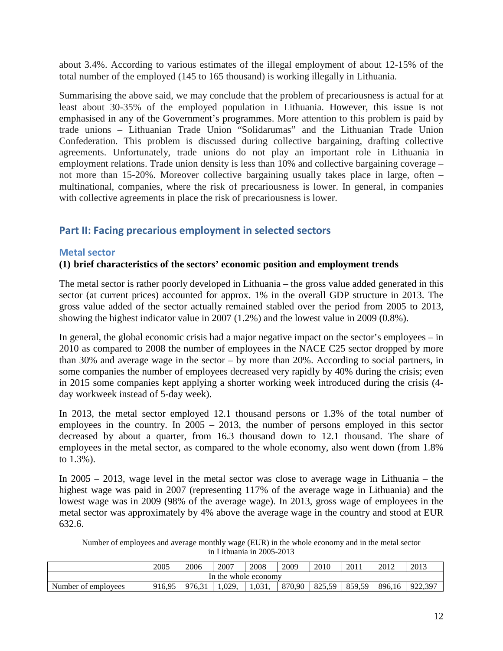about 3.4%. According to various estimates of the illegal employment of about 12-15% of the total number of the employed (145 to 165 thousand) is working illegally in Lithuania.

Summarising the above said, we may conclude that the problem of precariousness is actual for at least about 30-35% of the employed population in Lithuania. However, this issue is not emphasised in any of the Government's programmes. More attention to this problem is paid by trade unions – Lithuanian Trade Union "Solidarumas" and the Lithuanian Trade Union Confederation. This problem is discussed during collective bargaining, drafting collective agreements. Unfortunately, trade unions do not play an important role in Lithuania in employment relations. Trade union density is less than 10% and collective bargaining coverage – not more than 15-20%. Moreover collective bargaining usually takes place in large, often – multinational, companies, where the risk of precariousness is lower. In general, in companies with collective agreements in place the risk of precariousness is lower.

#### <span id="page-13-0"></span>**Part II: Facing precarious employment in selected sectors**

#### <span id="page-13-1"></span>**Metal sector**

#### **(1) brief characteristics of the sectors' economic position and employment trends**

The metal sector is rather poorly developed in Lithuania – the gross value added generated in this sector (at current prices) accounted for approx. 1% in the overall GDP structure in 2013. The gross value added of the sector actually remained stabled over the period from 2005 to 2013, showing the highest indicator value in 2007 (1.2%) and the lowest value in 2009 (0.8%).

In general, the global economic crisis had a major negative impact on the sector's employees – in 2010 as compared to 2008 the number of employees in the NACE C25 sector dropped by more than 30% and average wage in the sector – by more than 20%. According to social partners, in some companies the number of employees decreased very rapidly by 40% during the crisis; even in 2015 some companies kept applying a shorter working week introduced during the crisis (4 day workweek instead of 5-day week).

In 2013, the metal sector employed 12.1 thousand persons or 1.3% of the total number of employees in the country. In 2005 – 2013, the number of persons employed in this sector decreased by about a quarter, from 16.3 thousand down to 12.1 thousand. The share of employees in the metal sector, as compared to the whole economy, also went down (from 1.8% to 1.3%).

In 2005 – 2013, wage level in the metal sector was close to average wage in Lithuania – the highest wage was paid in 2007 (representing 117% of the average wage in Lithuania) and the lowest wage was in 2009 (98% of the average wage). In 2013, gross wage of employees in the metal sector was approximately by 4% above the average wage in the country and stood at EUR 632.6.

Number of employees and average monthly wage (EUR) in the whole economy and in the metal sector in Lithuania in 2005-2013

|                                                                                                                        | 2005 | 2006 | 2007 | 2008 | 2009 | 2010 | 2011 | 2012 | 2013 |  |  |  |
|------------------------------------------------------------------------------------------------------------------------|------|------|------|------|------|------|------|------|------|--|--|--|
| In the whole economy                                                                                                   |      |      |      |      |      |      |      |      |      |  |  |  |
| 896.16<br>1.029.<br>1.031.<br>859,59<br>922,397<br>870,90<br>82550<br>916.95<br>976.31<br>Number of employees<br>82J.J |      |      |      |      |      |      |      |      |      |  |  |  |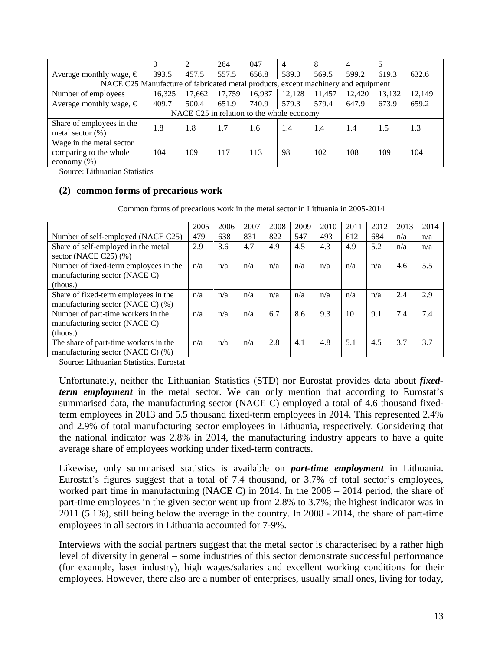|                                                                                   | $\Omega$                                  | $\overline{2}$ | 264    | 047    | $\overline{4}$ | 8      |        |        |        |  |  |  |
|-----------------------------------------------------------------------------------|-------------------------------------------|----------------|--------|--------|----------------|--------|--------|--------|--------|--|--|--|
| Average monthly wage, $\epsilon$                                                  | 393.5                                     | 457.5          | 557.5  | 656.8  | 589.0          | 569.5  | 599.2  | 619.3  | 632.6  |  |  |  |
| NACE C25 Manufacture of fabricated metal products, except machinery and equipment |                                           |                |        |        |                |        |        |        |        |  |  |  |
| Number of employees                                                               | 16,325                                    | 17.662         | 17.759 | 16,937 | 12.128         | 11.457 | 12.420 | 13,132 | 12,149 |  |  |  |
| Average monthly wage, $\in$                                                       | 409.7                                     | 500.4          | 651.9  | 740.9  | 579.3          | 579.4  | 647.9  | 673.9  | 659.2  |  |  |  |
|                                                                                   | NACE C25 in relation to the whole economy |                |        |        |                |        |        |        |        |  |  |  |
| Share of employees in the                                                         | 1.8                                       | 1.8            | 1.7    | 1.6    | 1.4            | 1.4    | 1.4    | 1.5    | 1.3    |  |  |  |
| metal sector $(\%)$                                                               |                                           |                |        |        |                |        |        |        |        |  |  |  |
| Wage in the metal sector                                                          |                                           |                |        |        |                |        |        |        |        |  |  |  |
| comparing to the whole                                                            | 104                                       | 109            | 117    | 113    | 98             | 102    | 108    | 109    | 104    |  |  |  |
| economy $(\% )$                                                                   |                                           |                |        |        |                |        |        |        |        |  |  |  |

Source: Lithuanian Statistics

#### **(2) common forms of precarious work**

Common forms of precarious work in the metal sector in Lithuania in 2005-2014

|                                                                                    | 2005 | 2006 | 2007 | 2008 | 2009 | 2010 | 2011 | 2012 | 2013 | 2014 |
|------------------------------------------------------------------------------------|------|------|------|------|------|------|------|------|------|------|
| Number of self-employed (NACE C25)                                                 | 479  | 638  | 831  | 822  | 547  | 493  | 612  | 684  | n/a  | n/a  |
| Share of self-employed in the metal<br>sector (NACE C25) $(\% )$                   | 2.9  | 3.6  | 4.7  | 4.9  | 4.5  | 4.3  | 4.9  | 5.2  | n/a  | n/a  |
| Number of fixed-term employees in the<br>manufacturing sector (NACE C)<br>(thous.) | n/a  | n/a  | n/a  | n/a  | n/a  | n/a  | n/a  | n/a  | 4.6  | 5.5  |
| Share of fixed-term employees in the<br>manufacturing sector (NACE C) (%)          | n/a  | n/a  | n/a  | n/a  | n/a  | n/a  | n/a  | n/a  | 2.4  | 2.9  |
| Number of part-time workers in the<br>manufacturing sector (NACE C)<br>(thous.)    | n/a  | n/a  | n/a  | 6.7  | 8.6  | 9.3  | 10   | 9.1  | 7.4  | 7.4  |
| The share of part-time workers in the<br>manufacturing sector (NACE C) (%)         | n/a  | n/a  | n/a  | 2.8  | 4.1  | 4.8  | 5.1  | 4.5  | 3.7  | 3.7  |

Source: Lithuanian Statistics, Eurostat

Unfortunately, neither the Lithuanian Statistics (STD) nor Eurostat provides data about *fixedterm employment* in the metal sector. We can only mention that according to Eurostat's summarised data, the manufacturing sector (NACE C) employed a total of 4.6 thousand fixedterm employees in 2013 and 5.5 thousand fixed-term employees in 2014. This represented 2.4% and 2.9% of total manufacturing sector employees in Lithuania, respectively. Considering that the national indicator was 2.8% in 2014, the manufacturing industry appears to have a quite average share of employees working under fixed-term contracts.

Likewise, only summarised statistics is available on *part-time employment* in Lithuania. Eurostat's figures suggest that a total of 7.4 thousand, or 3.7% of total sector's employees, worked part time in manufacturing (NACE C) in 2014. In the 2008 – 2014 period, the share of part-time employees in the given sector went up from 2.8% to 3.7%; the highest indicator was in 2011 (5.1%), still being below the average in the country. In 2008 - 2014, the share of part-time employees in all sectors in Lithuania accounted for 7-9%.

Interviews with the social partners suggest that the metal sector is characterised by a rather high level of diversity in general – some industries of this sector demonstrate successful performance (for example, laser industry), high wages/salaries and excellent working conditions for their employees. However, there also are a number of enterprises, usually small ones, living for today,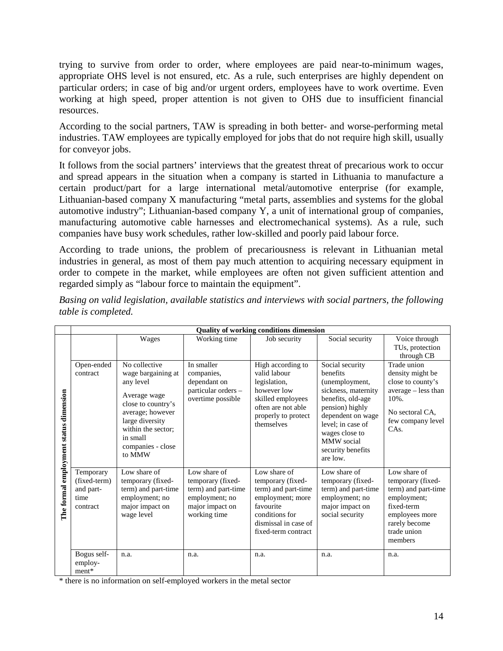trying to survive from order to order, where employees are paid near-to-minimum wages, appropriate OHS level is not ensured, etc. As a rule, such enterprises are highly dependent on particular orders; in case of big and/or urgent orders, employees have to work overtime. Even working at high speed, proper attention is not given to OHS due to insufficient financial resources.

According to the social partners, TAW is spreading in both better- and worse-performing metal industries. TAW employees are typically employed for jobs that do not require high skill, usually for conveyor jobs.

It follows from the social partners' interviews that the greatest threat of precarious work to occur and spread appears in the situation when a company is started in Lithuania to manufacture a certain product/part for a large international metal/automotive enterprise (for example, Lithuanian-based company X manufacturing "metal parts, assemblies and systems for the global automotive industry"; Lithuanian-based company Y, a unit of international group of companies, manufacturing automotive cable harnesses and electromechanical systems). As a rule, such companies have busy work schedules, rather low-skilled and poorly paid labour force.

According to trade unions, the problem of precariousness is relevant in Lithuanian metal industries in general, as most of them pay much attention to acquiring necessary equipment in order to compete in the market, while employees are often not given sufficient attention and regarded simply as "labour force to maintain the equipment".

|                                        |                                                            |                                                                                                                                                                                                |                                                                                                               | <b>Quality of working conditions dimension</b>                                                                                                             |                                                                                                                                                                                                                                |                                                                                                                                                    |
|----------------------------------------|------------------------------------------------------------|------------------------------------------------------------------------------------------------------------------------------------------------------------------------------------------------|---------------------------------------------------------------------------------------------------------------|------------------------------------------------------------------------------------------------------------------------------------------------------------|--------------------------------------------------------------------------------------------------------------------------------------------------------------------------------------------------------------------------------|----------------------------------------------------------------------------------------------------------------------------------------------------|
|                                        |                                                            | Wages                                                                                                                                                                                          | Working time                                                                                                  | Job security                                                                                                                                               | Social security                                                                                                                                                                                                                | Voice through<br>TUs, protection<br>through CB                                                                                                     |
| The formal employment status dimension | Open-ended<br>contract                                     | No collective<br>wage bargaining at<br>any level<br>Average wage<br>close to country's<br>average; however<br>large diversity<br>within the sector;<br>in small<br>companies - close<br>to MMW | In smaller<br>companies,<br>dependant on<br>particular orders -<br>overtime possible                          | High according to<br>valid labour<br>legislation,<br>however low<br>skilled employees<br>often are not able<br>properly to protect<br>themselves           | Social security<br>benefits<br>(unemployment,<br>sickness, maternity<br>benefits, old-age<br>pension) highly<br>dependent on wage<br>level: in case of<br>wages close to<br><b>MMW</b> social<br>security benefits<br>are low. | Trade union<br>density might be<br>close to county's<br>average – less than<br>10%.<br>No sectoral CA.<br>few company level<br>CA <sub>s</sub> .   |
|                                        | Temporary<br>(fixed-term)<br>and part-<br>time<br>contract | Low share of<br>temporary (fixed-<br>term) and part-time<br>employment; no<br>major impact on<br>wage level                                                                                    | Low share of<br>temporary (fixed-<br>term) and part-time<br>employment; no<br>major impact on<br>working time | Low share of<br>temporary (fixed-<br>term) and part-time<br>employment; more<br>favourite<br>conditions for<br>dismissal in case of<br>fixed-term contract | Low share of<br>temporary (fixed-<br>term) and part-time<br>employment; no<br>major impact on<br>social security                                                                                                               | Low share of<br>temporary (fixed-<br>term) and part-time<br>employment;<br>fixed-term<br>employees more<br>rarely become<br>trade union<br>members |
|                                        | Bogus self-<br>employ-<br>$ment*$                          | n.a.                                                                                                                                                                                           | n.a.                                                                                                          | n.a.                                                                                                                                                       | n.a.                                                                                                                                                                                                                           | n.a.                                                                                                                                               |

*Basing on valid legislation, available statistics and interviews with social partners, the following table is completed.*

\* there is no information on self-employed workers in the metal sector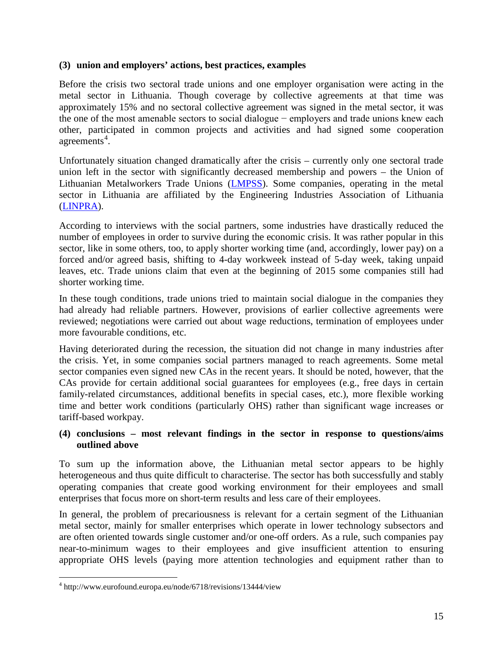#### **(3) union and employers' actions, best practices, examples**

Before the crisis two sectoral trade unions and one employer organisation were acting in the metal sector in Lithuania. Though coverage by collective agreements at that time was approximately 15% and no sectoral collective agreement was signed in the metal sector, it was the one of the most amenable sectors to social dialogue − employers and trade unions knew each other, participated in common projects and activities and had signed some cooperation agreements<sup>[4](#page-16-0)</sup>.

Unfortunately situation changed dramatically after the crisis – currently only one sectoral trade union left in the sector with significantly decreased membership and powers – the Union of Lithuanian Metalworkers Trade Unions [\(LMPSS\)](http://www.litmetal.lt/). Some companies, operating in the metal sector in Lithuania are affiliated by the Engineering Industries Association of Lithuania [\(LINPRA\)](http://www.linpra.lt/).

According to interviews with the social partners, some industries have drastically reduced the number of employees in order to survive during the economic crisis. It was rather popular in this sector, like in some others, too, to apply shorter working time (and, accordingly, lower pay) on a forced and/or agreed basis, shifting to 4-day workweek instead of 5-day week, taking unpaid leaves, etc. Trade unions claim that even at the beginning of 2015 some companies still had shorter working time.

In these tough conditions, trade unions tried to maintain social dialogue in the companies they had already had reliable partners. However, provisions of earlier collective agreements were reviewed; negotiations were carried out about wage reductions, termination of employees under more favourable conditions, etc.

Having deteriorated during the recession, the situation did not change in many industries after the crisis. Yet, in some companies social partners managed to reach agreements. Some metal sector companies even signed new CAs in the recent years. It should be noted, however, that the CAs provide for certain additional social guarantees for employees (e.g., free days in certain family-related circumstances, additional benefits in special cases, etc.), more flexible working time and better work conditions (particularly OHS) rather than significant wage increases or tariff-based workpay.

#### **(4) conclusions – most relevant findings in the sector in response to questions/aims outlined above**

To sum up the information above, the Lithuanian metal sector appears to be highly heterogeneous and thus quite difficult to characterise. The sector has both successfully and stably operating companies that create good working environment for their employees and small enterprises that focus more on short-term results and less care of their employees.

In general, the problem of precariousness is relevant for a certain segment of the Lithuanian metal sector, mainly for smaller enterprises which operate in lower technology subsectors and are often oriented towards single customer and/or one-off orders. As a rule, such companies pay near-to-minimum wages to their employees and give insufficient attention to ensuring appropriate OHS levels (paying more attention technologies and equipment rather than to

 $\overline{a}$ 

<span id="page-16-0"></span><sup>4</sup> http://www.eurofound.europa.eu/node/6718/revisions/13444/view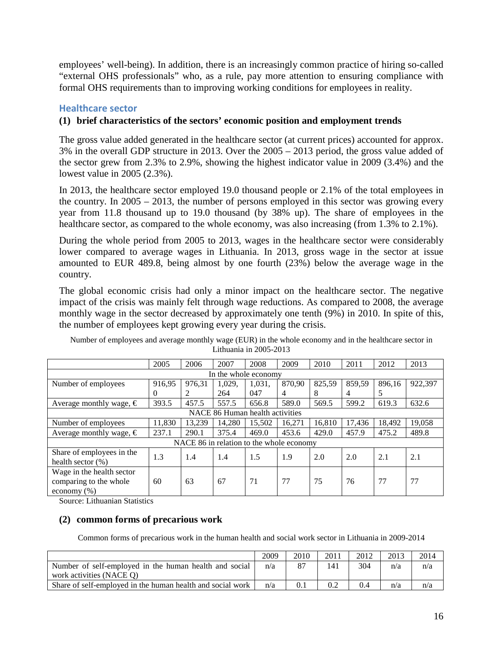employees' well-being). In addition, there is an increasingly common practice of hiring so-called "external OHS professionals" who, as a rule, pay more attention to ensuring compliance with formal OHS requirements than to improving working conditions for employees in reality.

#### <span id="page-17-0"></span>**Healthcare sector**

#### **(1) brief characteristics of the sectors' economic position and employment trends**

The gross value added generated in the healthcare sector (at current prices) accounted for approx. 3% in the overall GDP structure in 2013. Over the 2005 – 2013 period, the gross value added of the sector grew from 2.3% to 2.9%, showing the highest indicator value in 2009 (3.4%) and the lowest value in 2005 (2.3%).

In 2013, the healthcare sector employed 19.0 thousand people or 2.1% of the total employees in the country. In 2005 – 2013, the number of persons employed in this sector was growing every year from 11.8 thousand up to 19.0 thousand (by 38% up). The share of employees in the healthcare sector, as compared to the whole economy, was also increasing (from 1.3% to 2.1%).

During the whole period from 2005 to 2013, wages in the healthcare sector were considerably lower compared to average wages in Lithuania. In 2013, gross wage in the sector at issue amounted to EUR 489.8, being almost by one fourth (23%) below the average wage in the country.

The global economic crisis had only a minor impact on the healthcare sector. The negative impact of the crisis was mainly felt through wage reductions. As compared to 2008, the average monthly wage in the sector decreased by approximately one tenth (9%) in 2010. In spite of this, the number of employees kept growing every year during the crisis.

Number of employees and average monthly wage (EUR) in the whole economy and in the healthcare sector in Lithuania in 2005-2013

|                                  | 2005                 | 2006   | 2007   | 2008                                     | 2009   | 2010   | 2011   | 2012   | 2013    |  |  |  |
|----------------------------------|----------------------|--------|--------|------------------------------------------|--------|--------|--------|--------|---------|--|--|--|
|                                  | In the whole economy |        |        |                                          |        |        |        |        |         |  |  |  |
| Number of employees              | 916.95               | 976.31 | 1,029, | 1,031,                                   | 870,90 | 825,59 | 859,59 | 896,16 | 922,397 |  |  |  |
|                                  | $\Omega$             | 2      | 264    | 047                                      | 4      | 8      | 4      | 5      |         |  |  |  |
| Average monthly wage, $\epsilon$ | 393.5                | 457.5  | 557.5  | 656.8                                    | 589.0  | 569.5  | 599.2  | 619.3  | 632.6   |  |  |  |
| NACE 86 Human health activities  |                      |        |        |                                          |        |        |        |        |         |  |  |  |
| Number of employees              | 11,830               | 13.239 | 14.280 | 15.502                                   | 16.271 | 16.810 | 17,436 | 18,492 | 19,058  |  |  |  |
| Average monthly wage, $\in$      | 237.1                | 290.1  | 375.4  | 469.0                                    | 453.6  | 429.0  | 457.9  | 475.2  | 489.8   |  |  |  |
|                                  |                      |        |        | NACE 86 in relation to the whole economy |        |        |        |        |         |  |  |  |
| Share of employees in the        | 1.3                  | 1.4    | 1.4    | 1.5                                      | 1.9    | 2.0    | 2.0    | 2.1    | 2.1     |  |  |  |
| health sector $(\%)$             |                      |        |        |                                          |        |        |        |        |         |  |  |  |
| Wage in the health sector        |                      |        |        |                                          |        |        |        |        |         |  |  |  |
| comparing to the whole           | 60                   | 63     | 67     | 71                                       | 77     | 75     | 76     | 77     | 77      |  |  |  |
| economy $(\% )$                  |                      |        |        |                                          |        |        |        |        |         |  |  |  |

Source: Lithuanian Statistics

#### **(2) common forms of precarious work**

Common forms of precarious work in the human health and social work sector in Lithuania in 2009-2014

|                                                            | 2009 | 2010 | 2011 | 2012 | 2013 | 2014 |
|------------------------------------------------------------|------|------|------|------|------|------|
| Number of self-employed in the human health and social     | n/a  |      | 141  | 304  | n/a  | n/a  |
| work activities (NACE O)                                   |      |      |      |      |      |      |
| Share of self-employed in the human health and social work | n/a  |      |      | 0.4  | n/a  | n/a  |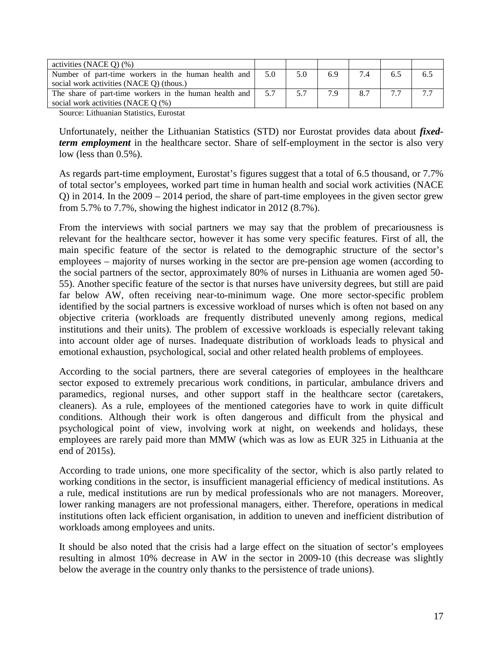| 5.0 | 5.0                                                                                                           | 6.9 | 7.4 | 6.5 | 6.5 |
|-----|---------------------------------------------------------------------------------------------------------------|-----|-----|-----|-----|
|     |                                                                                                               |     |     |     |     |
| 5.7 | 5.7                                                                                                           | 7.9 | 8.7 |     |     |
|     |                                                                                                               |     |     |     |     |
|     | Number of part-time workers in the human health and<br>The share of part-time workers in the human health and |     |     |     |     |

Source: Lithuanian Statistics, Eurostat

Unfortunately, neither the Lithuanian Statistics (STD) nor Eurostat provides data about *fixedterm employment* in the healthcare sector. Share of self-employment in the sector is also very low (less than 0.5%).

As regards part-time employment, Eurostat's figures suggest that a total of 6.5 thousand, or 7.7% of total sector's employees, worked part time in human health and social work activities (NACE Q) in 2014. In the 2009 – 2014 period, the share of part-time employees in the given sector grew from 5.7% to 7.7%, showing the highest indicator in 2012 (8.7%).

From the interviews with social partners we may say that the problem of precariousness is relevant for the healthcare sector, however it has some very specific features. First of all, the main specific feature of the sector is related to the demographic structure of the sector's employees – majority of nurses working in the sector are pre-pension age women (according to the social partners of the sector, approximately 80% of nurses in Lithuania are women aged 50- 55). Another specific feature of the sector is that nurses have university degrees, but still are paid far below AW, often receiving near-to-minimum wage. One more sector-specific problem identified by the social partners is excessive workload of nurses which is often not based on any objective criteria (workloads are frequently distributed unevenly among regions, medical institutions and their units). The problem of excessive workloads is especially relevant taking into account older age of nurses. Inadequate distribution of workloads leads to physical and emotional exhaustion, psychological, social and other related health problems of employees.

According to the social partners, there are several categories of employees in the healthcare sector exposed to extremely precarious work conditions, in particular, ambulance drivers and paramedics, regional nurses, and other support staff in the healthcare sector (caretakers, cleaners). As a rule, employees of the mentioned categories have to work in quite difficult conditions. Although their work is often dangerous and difficult from the physical and psychological point of view, involving work at night, on weekends and holidays, these employees are rarely paid more than MMW (which was as low as EUR 325 in Lithuania at the end of 2015s).

According to trade unions, one more specificality of the sector, which is also partly related to working conditions in the sector, is insufficient managerial efficiency of medical institutions. As a rule, medical institutions are run by medical professionals who are not managers. Moreover, lower ranking managers are not professional managers, either. Therefore, operations in medical institutions often lack efficient organisation, in addition to uneven and inefficient distribution of workloads among employees and units.

It should be also noted that the crisis had a large effect on the situation of sector's employees resulting in almost 10% decrease in AW in the sector in 2009-10 (this decrease was slightly below the average in the country only thanks to the persistence of trade unions).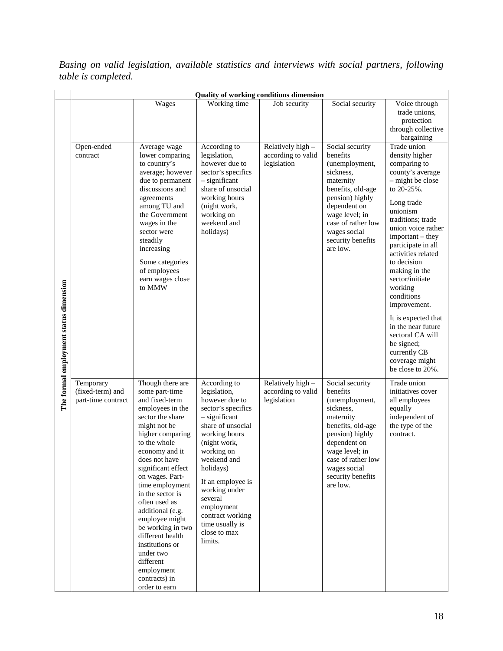*Basing on valid legislation, available statistics and interviews with social partners, following table is completed.* 

|                                        | Quality of working conditions dimension             |                                                                                                                                                                                                                                                                                                                                                                                                                                                                  |                                                                                                                                                                                                                                                                                                                          |                                                        |                                                                                                                                                                                                                          |                                                                                                                                                                                                                                                                                                                                                                                                                                                                             |  |  |  |
|----------------------------------------|-----------------------------------------------------|------------------------------------------------------------------------------------------------------------------------------------------------------------------------------------------------------------------------------------------------------------------------------------------------------------------------------------------------------------------------------------------------------------------------------------------------------------------|--------------------------------------------------------------------------------------------------------------------------------------------------------------------------------------------------------------------------------------------------------------------------------------------------------------------------|--------------------------------------------------------|--------------------------------------------------------------------------------------------------------------------------------------------------------------------------------------------------------------------------|-----------------------------------------------------------------------------------------------------------------------------------------------------------------------------------------------------------------------------------------------------------------------------------------------------------------------------------------------------------------------------------------------------------------------------------------------------------------------------|--|--|--|
|                                        |                                                     | Wages                                                                                                                                                                                                                                                                                                                                                                                                                                                            | Working time                                                                                                                                                                                                                                                                                                             | Job security                                           | Social security                                                                                                                                                                                                          | Voice through<br>trade unions,<br>protection<br>through collective<br>bargaining                                                                                                                                                                                                                                                                                                                                                                                            |  |  |  |
| The formal employment status dimension | Open-ended<br>contract                              | Average wage<br>lower comparing<br>to country's<br>average; however<br>due to permanent<br>discussions and<br>agreements<br>among TU and<br>the Government<br>wages in the<br>sector were<br>steadily<br>increasing<br>Some categories<br>of employees<br>earn wages close<br>to MMW                                                                                                                                                                             | According to<br>legislation,<br>however due to<br>sector's specifics<br>$-$ significant<br>share of unsocial<br>working hours<br>(night work,<br>working on<br>weekend and<br>holidays)                                                                                                                                  | Relatively high -<br>according to valid<br>legislation | Social security<br>benefits<br>(unemployment,<br>sickness,<br>maternity<br>benefits, old-age<br>pension) highly<br>dependent on<br>wage level; in<br>case of rather low<br>wages social<br>security benefits<br>are low. | Trade union<br>density higher<br>comparing to<br>county's average<br>$-$ might be close<br>to 20-25%.<br>Long trade<br>unionism<br>traditions; trade<br>union voice rather<br>important – they<br>participate in all<br>activities related<br>to decision<br>making in the<br>sector/initiate<br>working<br>conditions<br>improvement.<br>It is expected that<br>in the near future<br>sectoral CA will<br>be signed;<br>currently CB<br>coverage might<br>be close to 20%. |  |  |  |
|                                        | Temporary<br>(fixed-term) and<br>part-time contract | Though there are<br>some part-time<br>and fixed-term<br>employees in the<br>sector the share<br>might not be<br>higher comparing<br>to the whole<br>economy and it<br>does not have<br>significant effect<br>on wages. Part-<br>time employment<br>in the sector is<br>often used as<br>additional (e.g.<br>employee might<br>be working in two<br>different health<br>institutions or<br>under two<br>different<br>employment<br>contracts) in<br>order to earn | According to<br>legislation,<br>however due to<br>sector's specifics<br>$-$ significant<br>share of unsocial<br>working hours<br>(night work,<br>working on<br>weekend and<br>holidays)<br>If an employee is<br>working under<br>several<br>employment<br>contract working<br>time usually is<br>close to max<br>limits. | Relatively high -<br>according to valid<br>legislation | Social security<br>benefits<br>(unemployment,<br>sickness,<br>maternity<br>benefits, old-age<br>pension) highly<br>dependent on<br>wage level; in<br>case of rather low<br>wages social<br>security benefits<br>are low. | Trade union<br>initiatives cover<br>all employees<br>equally<br>independent of<br>the type of the<br>contract.                                                                                                                                                                                                                                                                                                                                                              |  |  |  |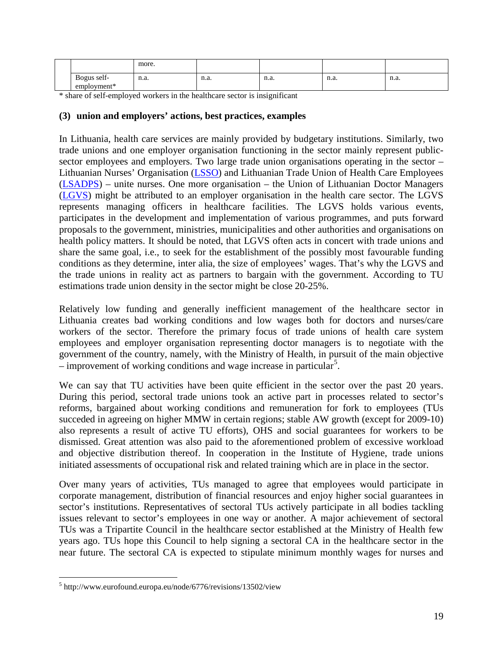|               | more.                        |                              |                              |           |           |
|---------------|------------------------------|------------------------------|------------------------------|-----------|-----------|
| Bogus self-   | n.a.<br>$\sim$ $\sim$ $\sim$ | n.a.<br>$\sim$ $\sim$ $\sim$ | n.a.<br>$\sim$ $\sim$ $\sim$ | n.a.<br>. | n.a.<br>. |
| $employment*$ |                              |                              |                              |           |           |

\* share of self-employed workers in the healthcare sector is insignificant

#### **(3) union and employers' actions, best practices, examples**

In Lithuania, health care services are mainly provided by budgetary institutions. Similarly, two trade unions and one employer organisation functioning in the sector mainly represent publicsector employees and employers. Two large trade union organisations operating in the sector – Lithuanian Nurses' Organisation [\(LSSO\)](http://www.lsso.lt/) and Lithuanian Trade Union of Health Care Employees [\(LSADPS\)](http://www.lsadps.lt/) – unite nurses. One more organisation – the Union of Lithuanian Doctor Managers [\(LGVS\)](http://www.lgvs.lt/) might be attributed to an employer organisation in the health care sector. The LGVS represents managing officers in healthcare facilities. The LGVS holds various events, participates in the development and implementation of various programmes, and puts forward proposals to the government, ministries, municipalities and other authorities and organisations on health policy matters. It should be noted, that LGVS often acts in concert with trade unions and share the same goal, i.e., to seek for the establishment of the possibly most favourable funding conditions as they determine, inter alia, the size of employees' wages. That's why the LGVS and the trade unions in reality act as partners to bargain with the government. According to TU estimations trade union density in the sector might be close 20-25%.

Relatively low funding and generally inefficient management of the healthcare sector in Lithuania creates bad working conditions and low wages both for doctors and nurses/care workers of the sector. Therefore the primary focus of trade unions of health care system employees and employer organisation representing doctor managers is to negotiate with the government of the country, namely, with the Ministry of Health, in pursuit of the main objective  $-$  improvement of working conditions and wage increase in particular<sup>[5](#page-20-0)</sup>.

We can say that TU activities have been quite efficient in the sector over the past 20 years. During this period, sectoral trade unions took an active part in processes related to sector's reforms, bargained about working conditions and remuneration for fork to employees (TUs succeded in agreeing on higher MMW in certain regions; stable AW growth (except for 2009-10) also represents a result of active TU efforts), OHS and social guarantees for workers to be dismissed. Great attention was also paid to the aforementioned problem of excessive workload and objective distribution thereof. In cooperation in the Institute of Hygiene, trade unions initiated assessments of occupational risk and related training which are in place in the sector.

Over many years of activities, TUs managed to agree that employees would participate in corporate management, distribution of financial resources and enjoy higher social guarantees in sector's institutions. Representatives of sectoral TUs actively participate in all bodies tackling issues relevant to sector's employees in one way or another. A major achievement of sectoral TUs was a Tripartite Council in the healthcare sector established at the Ministry of Health few years ago. TUs hope this Council to help signing a sectoral CA in the healthcare sector in the near future. The sectoral CA is expected to stipulate minimum monthly wages for nurses and

 $\overline{a}$ 

<span id="page-20-0"></span> $<sup>5</sup>$ http://www.eurofound.europa.eu/node/6776/revisions/13502/view</sup>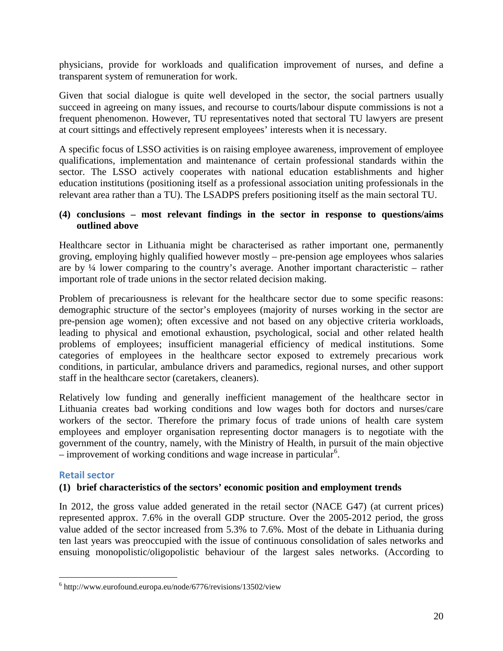physicians, provide for workloads and qualification improvement of nurses, and define a transparent system of remuneration for work.

Given that social dialogue is quite well developed in the sector, the social partners usually succeed in agreeing on many issues, and recourse to courts/labour dispute commissions is not a frequent phenomenon. However, TU representatives noted that sectoral TU lawyers are present at court sittings and effectively represent employees' interests when it is necessary.

A specific focus of LSSO activities is on raising employee awareness, improvement of employee qualifications, implementation and maintenance of certain professional standards within the sector. The LSSO actively cooperates with national education establishments and higher education institutions (positioning itself as a professional association uniting professionals in the relevant area rather than a TU). The LSADPS prefers positioning itself as the main sectoral TU.

#### **(4) conclusions – most relevant findings in the sector in response to questions/aims outlined above**

Healthcare sector in Lithuania might be characterised as rather important one, permanently groving, employing highly qualified however mostly – pre-pension age employees whos salaries are by ¼ lower comparing to the country's average. Another important characteristic – rather important role of trade unions in the sector related decision making.

Problem of precariousness is relevant for the healthcare sector due to some specific reasons: demographic structure of the sector's employees (majority of nurses working in the sector are pre-pension age women); often excessive and not based on any objective criteria workloads, leading to physical and emotional exhaustion, psychological, social and other related health problems of employees; insufficient managerial efficiency of medical institutions. Some categories of employees in the healthcare sector exposed to extremely precarious work conditions, in particular, ambulance drivers and paramedics, regional nurses, and other support staff in the healthcare sector (caretakers, cleaners).

Relatively low funding and generally inefficient management of the healthcare sector in Lithuania creates bad working conditions and low wages both for doctors and nurses/care workers of the sector. Therefore the primary focus of trade unions of health care system employees and employer organisation representing doctor managers is to negotiate with the government of the country, namely, with the Ministry of Health, in pursuit of the main objective  $-$  improvement of working conditions and wage increase in particular<sup>[6](#page-21-1)</sup>.

#### <span id="page-21-0"></span>**Retail sector**

 $\overline{a}$ 

#### **(1) brief characteristics of the sectors' economic position and employment trends**

In 2012, the gross value added generated in the retail sector (NACE G47) (at current prices) represented approx. 7.6% in the overall GDP structure. Over the 2005-2012 period, the gross value added of the sector increased from 5.3% to 7.6%. Most of the debate in Lithuania during ten last years was preoccupied with the issue of continuous consolidation of sales networks and ensuing monopolistic/oligopolistic behaviour of the largest sales networks. (According to

<span id="page-21-1"></span><sup>6</sup> http://www.eurofound.europa.eu/node/6776/revisions/13502/view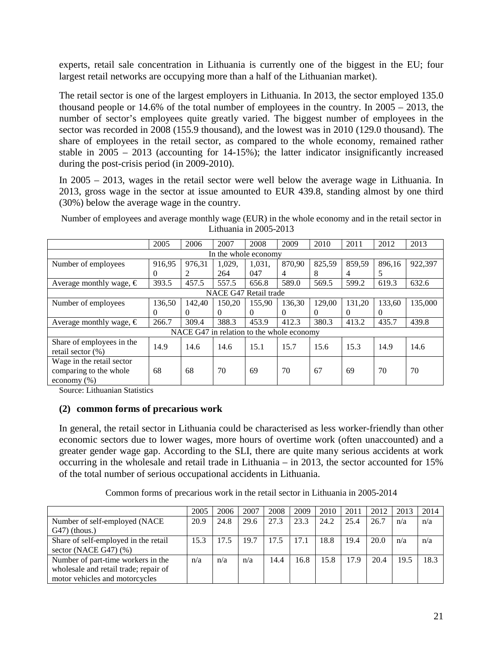experts, retail sale concentration in Lithuania is currently one of the biggest in the EU; four largest retail networks are occupying more than a half of the Lithuanian market).

The retail sector is one of the largest employers in Lithuania. In 2013, the sector employed 135.0 thousand people or 14.6% of the total number of employees in the country. In 2005 – 2013, the number of sector's employees quite greatly varied. The biggest number of employees in the sector was recorded in 2008 (155.9 thousand), and the lowest was in 2010 (129.0 thousand). The share of employees in the retail sector, as compared to the whole economy, remained rather stable in 2005 – 2013 (accounting for 14-15%); the latter indicator insignificantly increased during the post-crisis period (in 2009-2010).

In 2005 – 2013, wages in the retail sector were well below the average wage in Lithuania. In 2013, gross wage in the sector at issue amounted to EUR 439.8, standing almost by one third (30%) below the average wage in the country.

|                                  | 2005     | 2006     | 2007     | 2008                                      | 2009     | 2010     | 2011     | 2012   | 2013    |
|----------------------------------|----------|----------|----------|-------------------------------------------|----------|----------|----------|--------|---------|
|                                  |          |          |          | In the whole economy                      |          |          |          |        |         |
| Number of employees              | 916,95   | 976,31   | 1,029,   | 1,031,                                    | 870,90   | 825,59   | 859,59   | 896,16 | 922,397 |
|                                  | 0        |          | 264      | 047                                       | 4        | 8        | 4        | 5.     |         |
| Average monthly wage, $\epsilon$ | 393.5    | 457.5    | 557.5    | 656.8                                     | 589.0    | 569.5    | 599.2    | 619.3  | 632.6   |
|                                  |          |          |          | NACE G47 Retail trade                     |          |          |          |        |         |
| Number of employees              | 36,50    | 142.40   | 150.20   | 155.90                                    | 136.30   | 129.00   | 131,20   | 133,60 | 135,000 |
|                                  | $\Omega$ | $\theta$ | $\Omega$ | $\Omega$                                  | $\theta$ | $\Omega$ | $\theta$ | 0      |         |
| Average monthly wage, $\in$      | 266.7    | 309.4    | 388.3    | 453.9                                     | 412.3    | 380.3    | 413.2    | 435.7  | 439.8   |
|                                  |          |          |          | NACE G47 in relation to the whole economy |          |          |          |        |         |
| Share of employees in the        | 14.9     | 14.6     | 14.6     | 15.1                                      | 15.7     | 15.6     | 15.3     | 14.9   | 14.6    |
| retail sector $(\%)$             |          |          |          |                                           |          |          |          |        |         |
| Wage in the retail sector        |          |          |          |                                           |          |          |          |        |         |
| comparing to the whole           | 68       | 68       | 70       | 69                                        | 70       | 67       | 69       | 70     | 70      |
| economy $(\% )$                  |          |          |          |                                           |          |          |          |        |         |

Number of employees and average monthly wage (EUR) in the whole economy and in the retail sector in Lithuania in 2005-2013

Source: Lithuanian Statistics

#### **(2) common forms of precarious work**

In general, the retail sector in Lithuania could be characterised as less worker-friendly than other economic sectors due to lower wages, more hours of overtime work (often unaccounted) and a greater gender wage gap. According to the SLI, there are quite many serious accidents at work occurring in the wholesale and retail trade in Lithuania – in 2013, the sector accounted for 15% of the total number of serious occupational accidents in Lithuania.

Common forms of precarious work in the retail sector in Lithuania in 2005-2014

|                                                                                                               | 2005 | 2006 | 2007 | 2008 | 2009 | 2010 | 2011 | 2012 | 2013 | 2014 |
|---------------------------------------------------------------------------------------------------------------|------|------|------|------|------|------|------|------|------|------|
| Number of self-employed (NACE<br>$G(47)$ (thous.)                                                             | 20.9 | 24.8 | 29.6 | 27.3 | 23.3 | 24.2 | 25.4 | 26.7 | n/a  | n/a  |
| Share of self-employed in the retail<br>sector (NACE $G$ 47) $(\%)$                                           | 15.3 | 17.5 | 19.7 | 17.5 | 17.1 | 18.8 | 19.4 | 20.0 | n/a  | n/a  |
| Number of part-time workers in the<br>wholesale and retail trade; repair of<br>motor vehicles and motorcycles | n/a  | n/a  | n/a  | 14.4 | 16.8 | 15.8 | 17.9 | 20.4 | 19.5 | 18.3 |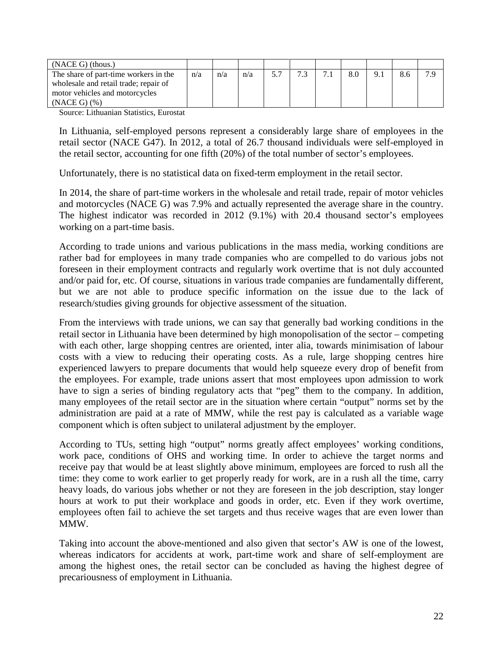| $(NACE G)$ (thous.)                   |     |     |     |  |   |     |     |     |
|---------------------------------------|-----|-----|-----|--|---|-----|-----|-----|
| The share of part-time workers in the | n/a | n/a | n/a |  | ⇁ | 8.0 | 9.1 | 7 Q |
| wholesale and retail trade; repair of |     |     |     |  |   |     |     |     |
| motor vehicles and motorcycles        |     |     |     |  |   |     |     |     |
| $(NACE G)$ $(\% )$                    |     |     |     |  |   |     |     |     |

Source: Lithuanian Statistics, Eurostat

In Lithuania, self-employed persons represent a considerably large share of employees in the retail sector (NACE G47). In 2012, a total of 26.7 thousand individuals were self-employed in the retail sector, accounting for one fifth (20%) of the total number of sector's employees.

Unfortunately, there is no statistical data on fixed-term employment in the retail sector.

In 2014, the share of part-time workers in the wholesale and retail trade, repair of motor vehicles and motorcycles (NACE G) was 7.9% and actually represented the average share in the country. The highest indicator was recorded in 2012 (9.1%) with 20.4 thousand sector's employees working on a part-time basis.

According to trade unions and various publications in the mass media, working conditions are rather bad for employees in many trade companies who are compelled to do various jobs not foreseen in their employment contracts and regularly work overtime that is not duly accounted and/or paid for, etc. Of course, situations in various trade companies are fundamentally different, but we are not able to produce specific information on the issue due to the lack of research/studies giving grounds for objective assessment of the situation.

From the interviews with trade unions, we can say that generally bad working conditions in the retail sector in Lithuania have been determined by high monopolisation of the sector – competing with each other, large shopping centres are oriented, inter alia, towards minimisation of labour costs with a view to reducing their operating costs. As a rule, large shopping centres hire experienced lawyers to prepare documents that would help squeeze every drop of benefit from the employees. For example, trade unions assert that most employees upon admission to work have to sign a series of binding regulatory acts that "peg" them to the company. In addition, many employees of the retail sector are in the situation where certain "output" norms set by the administration are paid at a rate of MMW, while the rest pay is calculated as a variable wage component which is often subject to unilateral adjustment by the employer.

According to TUs, setting high "output" norms greatly affect employees' working conditions, work pace, conditions of OHS and working time. In order to achieve the target norms and receive pay that would be at least slightly above minimum, employees are forced to rush all the time: they come to work earlier to get properly ready for work, are in a rush all the time, carry heavy loads, do various jobs whether or not they are foreseen in the job description, stay longer hours at work to put their workplace and goods in order, etc. Even if they work overtime, employees often fail to achieve the set targets and thus receive wages that are even lower than MMW.

Taking into account the above-mentioned and also given that sector's AW is one of the lowest, whereas indicators for accidents at work, part-time work and share of self-employment are among the highest ones, the retail sector can be concluded as having the highest degree of precariousness of employment in Lithuania.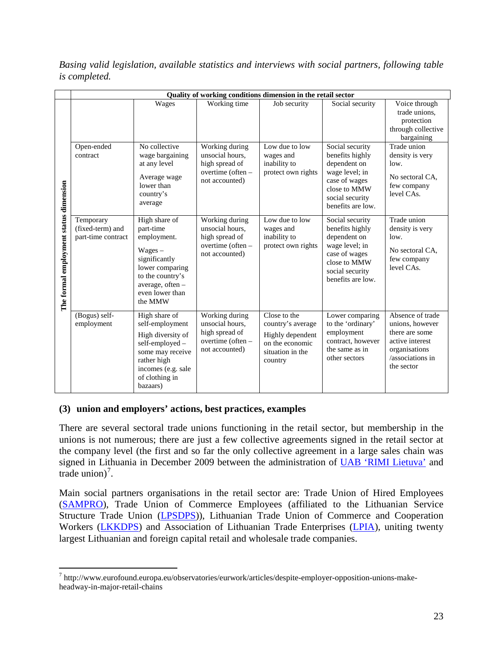**Quality of working conditions dimension in the retail sector** Wages Working time Job security Social security Voice through trade unions, protection through collective bargaining Open-ended No collective Working during Low due to low Social security Trade union unsocial hours, wages and benefits highly density is very contract wage bargaining at any level high spread of inability to dependent on low. overtime (often – protect own rights wage level; in Average wage No sectoral CA, not accounted) case of wages formal employment status dimension **The formal employment status dimension** lower than few company close to MMW level CAs. country's social security average benefits are low. High share of Working during Low due to low Social security Trade union Temporary (fixed-term) and part-time unsocial hours, wages and benefits highly density is very employment. high spread of inability to dependent on part-time contract low. overtime (often – protect own rights wage level; in Wages – No sectoral CA, not accounted) case of wages significantly few company close to MMW lower comparing level CAs. social security to the country's benefits are low. average, often – even lower than The<sup>1</sup> the MMW Lower comparing (Bogus) self-High share of Working during Close to the Absence of trade employment self-employment unsocial hours, country's average to the 'ordinary' unions, however high spread of employment there are some High diversity of Highly dependent overtime (often – contract, however active interest self-employed – on the economic not accounted) the same as in organisations some may receive situation in the other sectors /associations in rather high country the sector incomes (e.g. sale of clothing in bazaars)

*Basing valid legislation, available statistics and interviews with social partners, following table is completed.*

#### **(3) union and employers' actions, best practices, examples**

There are several sectoral trade unions functioning in the retail sector, but membership in the unions is not numerous; there are just a few collective agreements signed in the retail sector at the company level (the first and so far the only collective agreement in a large sales chain was signed in Lithuania in December 2009 between the administration of [UAB 'RIMI Lietuva'](http://www.rimi.lt/) and trade union)<sup>[7](#page-24-0)</sup>.

Main social partners organisations in the retail sector are: Trade Union of Hired Employees [\(SAMPRO\)](http://www.sampro.lt/), Trade Union of Commerce Employees (affiliated to the Lithuanian Service Structure Trade Union [\(LPSDPS\)](http://www.lpsdps.com/)), Lithuanian Trade Union of Commerce and Cooperation Workers [\(LKKDPS\)](http://www.profsajunga.lt/) and Association of Lithuanian Trade Enterprises [\(LPIA\)](http://www.lietuvos-prekyba.lt/lt.php), uniting twenty largest Lithuanian and foreign capital retail and wholesale trade companies.

<span id="page-24-0"></span> $\overline{a}$  $^7$  http://www.eurofound.europa.eu/observatories/eurwork/articles/despite-employer-opposition-unions-makeheadway-in-major-retail-chains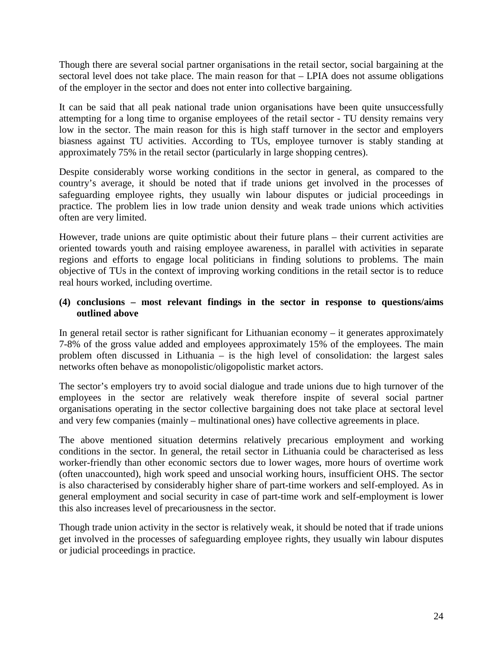Though there are several social partner organisations in the retail sector, social bargaining at the sectoral level does not take place. The main reason for that – LPIA does not assume obligations of the employer in the sector and does not enter into collective bargaining.

It can be said that all peak national trade union organisations have been quite unsuccessfully attempting for a long time to organise employees of the retail sector - TU density remains very low in the sector. The main reason for this is high staff turnover in the sector and employers biasness against TU activities. According to TUs, employee turnover is stably standing at approximately 75% in the retail sector (particularly in large shopping centres).

Despite considerably worse working conditions in the sector in general, as compared to the country's average, it should be noted that if trade unions get involved in the processes of safeguarding employee rights, they usually win labour disputes or judicial proceedings in practice. The problem lies in low trade union density and weak trade unions which activities often are very limited.

However, trade unions are quite optimistic about their future plans – their current activities are oriented towards youth and raising employee awareness, in parallel with activities in separate regions and efforts to engage local politicians in finding solutions to problems. The main objective of TUs in the context of improving working conditions in the retail sector is to reduce real hours worked, including overtime.

#### **(4) conclusions – most relevant findings in the sector in response to questions/aims outlined above**

In general retail sector is rather significant for Lithuanian economy – it generates approximately 7-8% of the gross value added and employees approximately 15% of the employees. The main problem often discussed in Lithuania – is the high level of consolidation: the largest sales networks often behave as monopolistic/oligopolistic market actors.

The sector's employers try to avoid social dialogue and trade unions due to high turnover of the employees in the sector are relatively weak therefore inspite of several social partner organisations operating in the sector collective bargaining does not take place at sectoral level and very few companies (mainly – multinational ones) have collective agreements in place.

The above mentioned situation determins relatively precarious employment and working conditions in the sector. In general, the retail sector in Lithuania could be characterised as less worker-friendly than other economic sectors due to lower wages, more hours of overtime work (often unaccounted), high work speed and unsocial working hours, insufficient OHS. The sector is also characterised by considerably higher share of part-time workers and self-employed. As in general employment and social security in case of part-time work and self-employment is lower this also increases level of precariousness in the sector.

Though trade union activity in the sector is relatively weak, it should be noted that if trade unions get involved in the processes of safeguarding employee rights, they usually win labour disputes or judicial proceedings in practice.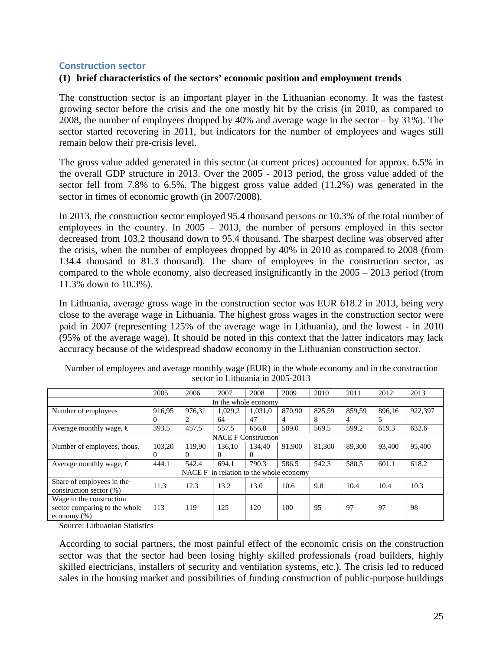#### <span id="page-26-0"></span>**Construction sector**

#### **(1) brief characteristics of the sectors' economic position and employment trends**

The construction sector is an important player in the Lithuanian economy. It was the fastest growing sector before the crisis and the one mostly hit by the crisis (in 2010, as compared to 2008, the number of employees dropped by 40% and average wage in the sector – by 31%). The sector started recovering in 2011, but indicators for the number of employees and wages still remain below their pre-crisis level.

The gross value added generated in this sector (at current prices) accounted for approx. 6.5% in the overall GDP structure in 2013. Over the 2005 - 2013 period, the gross value added of the sector fell from 7.8% to 6.5%. The biggest gross value added (11.2%) was generated in the sector in times of economic growth (in 2007/2008).

In 2013, the construction sector employed 95.4 thousand persons or 10.3% of the total number of employees in the country. In 2005 – 2013, the number of persons employed in this sector decreased from 103.2 thousand down to 95.4 thousand. The sharpest decline was observed after the crisis, when the number of employees dropped by 40% in 2010 as compared to 2008 (from 134.4 thousand to 81.3 thousand). The share of employees in the construction sector, as compared to the whole economy, also decreased insignificantly in the 2005 – 2013 period (from 11.3% down to 10.3%).

In Lithuania, average gross wage in the construction sector was EUR 618.2 in 2013, being very close to the average wage in Lithuania. The highest gross wages in the construction sector were paid in 2007 (representing 125% of the average wage in Lithuania), and the lowest - in 2010 (95% of the average wage). It should be noted in this context that the latter indicators may lack accuracy because of the widespread shadow economy in the Lithuanian construction sector.

|                                  | 2005     | 2006     | 2007    | 2008                                    | 2009   | 2010   | 2011   | 2012   | 2013    |  |  |  |
|----------------------------------|----------|----------|---------|-----------------------------------------|--------|--------|--------|--------|---------|--|--|--|
|                                  |          |          |         | In the whole economy                    |        |        |        |        |         |  |  |  |
| Number of employees              | 916,95   | 976.31   | 1,029,2 | 1.031.0                                 | 870,90 | 825.59 | 859.59 | 896.16 | 922,397 |  |  |  |
|                                  | $\Omega$ | 2        | 64      | 47                                      | 4      | 8      | 4      | 5      |         |  |  |  |
| Average monthly wage, $\in$      | 393.5    | 457.5    | 557.5   | 656.8                                   | 589.0  | 569.5  | 599.2  | 619.3  | 632.6   |  |  |  |
| <b>NACE F Construction</b>       |          |          |         |                                         |        |        |        |        |         |  |  |  |
| Number of employees, thous.      | 103.20   | 119.90   | 136.10  | 134.40                                  | 91.900 | 81.300 | 89.300 | 93.400 | 95,400  |  |  |  |
|                                  | $\left($ | $\Omega$ | 0       | 0                                       |        |        |        |        |         |  |  |  |
| Average monthly wage, $\epsilon$ | 444.1    | 542.4    | 694.1   | 790.3                                   | 586.5  | 542.3  | 580.5  | 601.1  | 618.2   |  |  |  |
|                                  |          |          |         | NACE F in relation to the whole economy |        |        |        |        |         |  |  |  |
| Share of employees in the        | 11.3     | 12.3     | 13.2    | 13.0                                    | 10.6   | 9.8    | 10.4   | 10.4   | 10.3    |  |  |  |
| construction sector $(\%)$       |          |          |         |                                         |        |        |        |        |         |  |  |  |
| Wage in the construction         |          |          |         |                                         |        |        |        |        |         |  |  |  |
| sector comparing to the whole    | 113      | 119      | 125     | 120                                     | 100    | 95     | 97     | 97     | 98      |  |  |  |
| economy $(\%)$                   |          |          |         |                                         |        |        |        |        |         |  |  |  |

Number of employees and average monthly wage (EUR) in the whole economy and in the construction sector in Lithuania in 2005-2013

Source: Lithuanian Statistics

According to social partners, the most painful effect of the economic crisis on the construction sector was that the sector had been losing highly skilled professionals (road builders, highly skilled electricians, installers of security and ventilation systems, etc.). The crisis led to reduced sales in the housing market and possibilities of funding construction of public-purpose buildings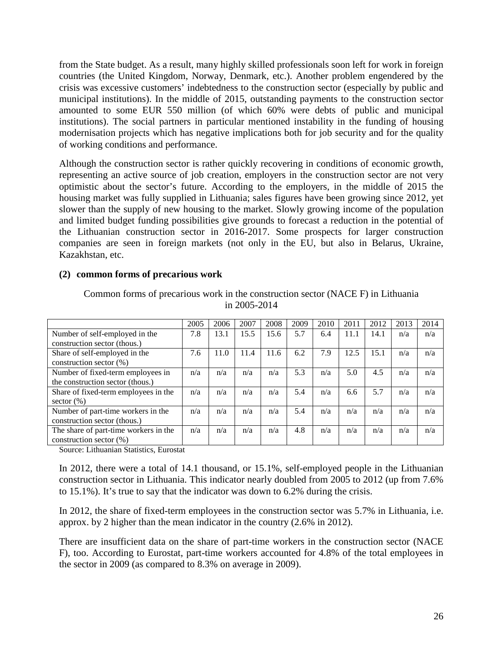from the State budget. As a result, many highly skilled professionals soon left for work in foreign countries (the United Kingdom, Norway, Denmark, etc.). Another problem engendered by the crisis was excessive customers' indebtedness to the construction sector (especially by public and municipal institutions). In the middle of 2015, outstanding payments to the construction sector amounted to some EUR 550 million (of which 60% were debts of public and municipal institutions). The social partners in particular mentioned instability in the funding of housing modernisation projects which has negative implications both for job security and for the quality of working conditions and performance.

Although the construction sector is rather quickly recovering in conditions of economic growth, representing an active source of job creation, employers in the construction sector are not very optimistic about the sector's future. According to the employers, in the middle of 2015 the housing market was fully supplied in Lithuania; sales figures have been growing since 2012, yet slower than the supply of new housing to the market. Slowly growing income of the population and limited budget funding possibilities give grounds to forecast a reduction in the potential of the Lithuanian construction sector in 2016-2017. Some prospects for larger construction companies are seen in foreign markets (not only in the EU, but also in Belarus, Ukraine, Kazakhstan, etc.

#### **(2) common forms of precarious work**

|                                       | 2005 | 2006 | 2007 | 2008 | 2009 | 2010 | 2011 | 2012 | 2013 | 2014 |
|---------------------------------------|------|------|------|------|------|------|------|------|------|------|
| Number of self-employed in the        | 7.8  | 13.1 | 15.5 | 15.6 | 5.7  | 6.4  | 11.1 | 14.1 | n/a  | n/a  |
| construction sector (thous.)          |      |      |      |      |      |      |      |      |      |      |
| Share of self-employed in the         | 7.6  | 11.0 | 11.4 | 11.6 | 6.2  | 7.9  | 12.5 | 15.1 | n/a  | n/a  |
| construction sector $(\%)$            |      |      |      |      |      |      |      |      |      |      |
| Number of fixed-term employees in     | n/a  | n/a  | n/a  | n/a  | 5.3  | n/a  | 5.0  | 4.5  | n/a  | n/a  |
| the construction sector (thous.)      |      |      |      |      |      |      |      |      |      |      |
| Share of fixed-term employees in the  | n/a  | n/a  | n/a  | n/a  | 5.4  | n/a  | 6.6  | 5.7  | n/a  | n/a  |
| sector $(\% )$                        |      |      |      |      |      |      |      |      |      |      |
| Number of part-time workers in the    | n/a  | n/a  | n/a  | n/a  | 5.4  | n/a  | n/a  | n/a  | n/a  | n/a  |
| construction sector (thous.)          |      |      |      |      |      |      |      |      |      |      |
| The share of part-time workers in the | n/a  | n/a  | n/a  | n/a  | 4.8  | n/a  | n/a  | n/a  | n/a  | n/a  |
| construction sector $(\% )$           |      |      |      |      |      |      |      |      |      |      |

Common forms of precarious work in the construction sector (NACE F) in Lithuania in 2005-2014

Source: Lithuanian Statistics, Eurostat

In 2012, there were a total of 14.1 thousand, or 15.1%, self-employed people in the Lithuanian construction sector in Lithuania. This indicator nearly doubled from 2005 to 2012 (up from 7.6% to 15.1%). It's true to say that the indicator was down to 6.2% during the crisis.

In 2012, the share of fixed-term employees in the construction sector was 5.7% in Lithuania, i.e. approx. by 2 higher than the mean indicator in the country (2.6% in 2012).

There are insufficient data on the share of part-time workers in the construction sector (NACE F), too. According to Eurostat, part-time workers accounted for 4.8% of the total employees in the sector in 2009 (as compared to 8.3% on average in 2009).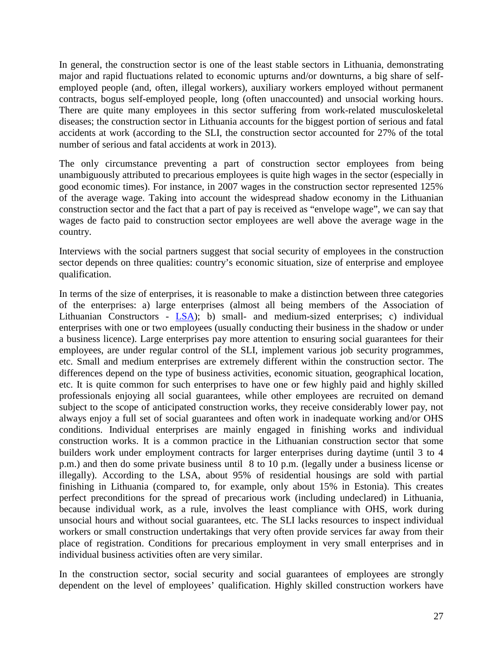In general, the construction sector is one of the least stable sectors in Lithuania, demonstrating major and rapid fluctuations related to economic upturns and/or downturns, a big share of selfemployed people (and, often, illegal workers), auxiliary workers employed without permanent contracts, bogus self-employed people, long (often unaccounted) and unsocial working hours. There are quite many employees in this sector suffering from work-related musculoskeletal diseases; the construction sector in Lithuania accounts for the biggest portion of serious and fatal accidents at work (according to the SLI, the construction sector accounted for 27% of the total number of serious and fatal accidents at work in 2013).

The only circumstance preventing a part of construction sector employees from being unambiguously attributed to precarious employees is quite high wages in the sector (especially in good economic times). For instance, in 2007 wages in the construction sector represented 125% of the average wage. Taking into account the widespread shadow economy in the Lithuanian construction sector and the fact that a part of pay is received as "envelope wage", we can say that wages de facto paid to construction sector employees are well above the average wage in the country.

Interviews with the social partners suggest that social security of employees in the construction sector depends on three qualities: country's economic situation, size of enterprise and employee qualification.

In terms of the size of enterprises, it is reasonable to make a distinction between three categories of the enterprises: a) large enterprises (almost all being members of the Association of Lithuanian Constructors - [LSA\)](http://www.statybininkai.lt/); b) small- and medium-sized enterprises; c) individual enterprises with one or two employees (usually conducting their business in the shadow or under a business licence). Large enterprises pay more attention to ensuring social guarantees for their employees, are under regular control of the SLI, implement various job security programmes, etc. Small and medium enterprises are extremely different within the construction sector. The differences depend on the type of business activities, economic situation, geographical location, etc. It is quite common for such enterprises to have one or few highly paid and highly skilled professionals enjoying all social guarantees, while other employees are recruited on demand subject to the scope of anticipated construction works, they receive considerably lower pay, not always enjoy a full set of social guarantees and often work in inadequate working and/or OHS conditions. Individual enterprises are mainly engaged in finishing works and individual construction works. It is a common practice in the Lithuanian construction sector that some builders work under employment contracts for larger enterprises during daytime (until 3 to 4 p.m.) and then do some private business until 8 to 10 p.m. (legally under a business license or illegally). According to the LSA, about 95% of residential housings are sold with partial finishing in Lithuania (compared to, for example, only about 15% in Estonia). This creates perfect preconditions for the spread of precarious work (including undeclared) in Lithuania, because individual work, as a rule, involves the least compliance with OHS, work during unsocial hours and without social guarantees, etc. The SLI lacks resources to inspect individual workers or small construction undertakings that very often provide services far away from their place of registration. Conditions for precarious employment in very small enterprises and in individual business activities often are very similar.

In the construction sector, social security and social guarantees of employees are strongly dependent on the level of employees' qualification. Highly skilled construction workers have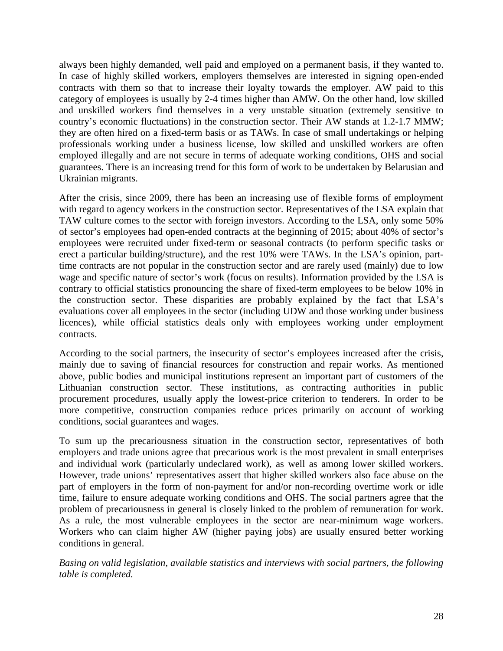always been highly demanded, well paid and employed on a permanent basis, if they wanted to. In case of highly skilled workers, employers themselves are interested in signing open-ended contracts with them so that to increase their loyalty towards the employer. AW paid to this category of employees is usually by 2-4 times higher than AMW. On the other hand, low skilled and unskilled workers find themselves in a very unstable situation (extremely sensitive to country's economic fluctuations) in the construction sector. Their AW stands at 1.2-1.7 MMW; they are often hired on a fixed-term basis or as TAWs. In case of small undertakings or helping professionals working under a business license, low skilled and unskilled workers are often employed illegally and are not secure in terms of adequate working conditions, OHS and social guarantees. There is an increasing trend for this form of work to be undertaken by Belarusian and Ukrainian migrants.

After the crisis, since 2009, there has been an increasing use of flexible forms of employment with regard to agency workers in the construction sector. Representatives of the LSA explain that TAW culture comes to the sector with foreign investors. According to the LSA, only some 50% of sector's employees had open-ended contracts at the beginning of 2015; about 40% of sector's employees were recruited under fixed-term or seasonal contracts (to perform specific tasks or erect a particular building/structure), and the rest 10% were TAWs. In the LSA's opinion, parttime contracts are not popular in the construction sector and are rarely used (mainly) due to low wage and specific nature of sector's work (focus on results). Information provided by the LSA is contrary to official statistics pronouncing the share of fixed-term employees to be below 10% in the construction sector. These disparities are probably explained by the fact that LSA's evaluations cover all employees in the sector (including UDW and those working under business licences), while official statistics deals only with employees working under employment contracts.

According to the social partners, the insecurity of sector's employees increased after the crisis, mainly due to saving of financial resources for construction and repair works. As mentioned above, public bodies and municipal institutions represent an important part of customers of the Lithuanian construction sector. These institutions, as contracting authorities in public procurement procedures, usually apply the lowest-price criterion to tenderers. In order to be more competitive, construction companies reduce prices primarily on account of working conditions, social guarantees and wages.

To sum up the precariousness situation in the construction sector, representatives of both employers and trade unions agree that precarious work is the most prevalent in small enterprises and individual work (particularly undeclared work), as well as among lower skilled workers. However, trade unions' representatives assert that higher skilled workers also face abuse on the part of employers in the form of non-payment for and/or non-recording overtime work or idle time, failure to ensure adequate working conditions and OHS. The social partners agree that the problem of precariousness in general is closely linked to the problem of remuneration for work. As a rule, the most vulnerable employees in the sector are near-minimum wage workers. Workers who can claim higher AW (higher paying jobs) are usually ensured better working conditions in general.

*Basing on valid legislation, available statistics and interviews with social partners, the following table is completed.*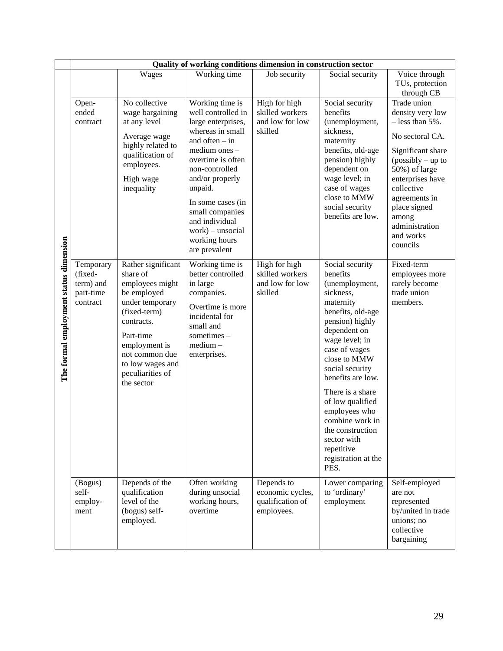|                                        |                                                            |                                                                                                                                                                                                                         | Quality of working conditions dimension in construction sector                                                                                                                                                                                                                                               |                                                                  |                                                                                                                                                                                                                                                                                                                                                                                        |                                                                                                                                                                                                                                                             |
|----------------------------------------|------------------------------------------------------------|-------------------------------------------------------------------------------------------------------------------------------------------------------------------------------------------------------------------------|--------------------------------------------------------------------------------------------------------------------------------------------------------------------------------------------------------------------------------------------------------------------------------------------------------------|------------------------------------------------------------------|----------------------------------------------------------------------------------------------------------------------------------------------------------------------------------------------------------------------------------------------------------------------------------------------------------------------------------------------------------------------------------------|-------------------------------------------------------------------------------------------------------------------------------------------------------------------------------------------------------------------------------------------------------------|
|                                        |                                                            | Wages                                                                                                                                                                                                                   | Working time                                                                                                                                                                                                                                                                                                 | Job security                                                     | Social security                                                                                                                                                                                                                                                                                                                                                                        | Voice through<br>TUs, protection<br>through CB                                                                                                                                                                                                              |
|                                        | Open-<br>ended<br>contract                                 | No collective<br>wage bargaining<br>at any level<br>Average wage<br>highly related to<br>qualification of<br>employees.<br>High wage<br>inequality                                                                      | Working time is<br>well controlled in<br>large enterprises,<br>whereas in small<br>and often $-$ in<br>medium ones -<br>overtime is often<br>non-controlled<br>and/or properly<br>unpaid.<br>In some cases (in<br>small companies<br>and individual<br>$work$ ) – unsocial<br>working hours<br>are prevalent | High for high<br>skilled workers<br>and low for low<br>skilled   | Social security<br>benefits<br>(unemployment,<br>sickness,<br>maternity<br>benefits, old-age<br>pension) highly<br>dependent on<br>wage level; in<br>case of wages<br>close to MMW<br>social security<br>benefits are low.                                                                                                                                                             | Trade union<br>density very low<br>$-$ less than 5%.<br>No sectoral CA.<br>Significant share<br>$(possibly - up to$<br>50%) of large<br>enterprises have<br>collective<br>agreements in<br>place signed<br>among<br>administration<br>and works<br>councils |
| The formal employment status dimension | Temporary<br>(fixed-<br>term) and<br>part-time<br>contract | Rather significant<br>share of<br>employees might<br>be employed<br>under temporary<br>(fixed-term)<br>contracts.<br>Part-time<br>employment is<br>not common due<br>to low wages and<br>peculiarities of<br>the sector | Working time is<br>better controlled<br>in large<br>companies.<br>Overtime is more<br>incidental for<br>small and<br>sometimes -<br>medium-<br>enterprises.                                                                                                                                                  | High for high<br>skilled workers<br>and low for low<br>skilled   | Social security<br>benefits<br>(unemployment,<br>sickness,<br>maternity<br>benefits, old-age<br>pension) highly<br>dependent on<br>wage level; in<br>case of wages<br>close to MMW<br>social security<br>benefits are low.<br>There is a share<br>of low qualified<br>employees who<br>combine work in<br>the construction<br>sector with<br>repetitive<br>registration at the<br>PES. | Fixed-term<br>employees more<br>rarely become<br>trade union<br>members.                                                                                                                                                                                    |
|                                        | (Bogus)<br>self-<br>employ-<br>ment                        | Depends of the<br>qualification<br>level of the<br>(bogus) self-<br>employed.                                                                                                                                           | Often working<br>during unsocial<br>working hours,<br>overtime                                                                                                                                                                                                                                               | Depends to<br>economic cycles,<br>qualification of<br>employees. | Lower comparing<br>to 'ordinary'<br>employment                                                                                                                                                                                                                                                                                                                                         | Self-employed<br>are not<br>represented<br>by/united in trade<br>unions; no<br>collective<br>bargaining                                                                                                                                                     |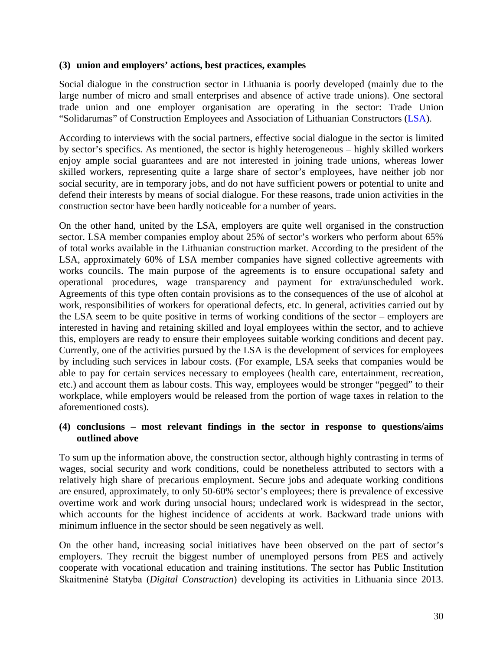#### **(3) union and employers' actions, best practices, examples**

Social dialogue in the construction sector in Lithuania is poorly developed (mainly due to the large number of micro and small enterprises and absence of active trade unions). One sectoral trade union and one employer organisation are operating in the sector: Trade Union "Solidarumas" of Construction Employees and Association of Lithuanian Constructors [\(LSA\)](http://www.statybininkai.lt/).

According to interviews with the social partners, effective social dialogue in the sector is limited by sector's specifics. As mentioned, the sector is highly heterogeneous – highly skilled workers enjoy ample social guarantees and are not interested in joining trade unions, whereas lower skilled workers, representing quite a large share of sector's employees, have neither job nor social security, are in temporary jobs, and do not have sufficient powers or potential to unite and defend their interests by means of social dialogue. For these reasons, trade union activities in the construction sector have been hardly noticeable for a number of years.

On the other hand, united by the LSA, employers are quite well organised in the construction sector. LSA member companies employ about 25% of sector's workers who perform about 65% of total works available in the Lithuanian construction market. According to the president of the LSA, approximately 60% of LSA member companies have signed collective agreements with works councils. The main purpose of the agreements is to ensure occupational safety and operational procedures, wage transparency and payment for extra/unscheduled work. Agreements of this type often contain provisions as to the consequences of the use of alcohol at work, responsibilities of workers for operational defects, etc. In general, activities carried out by the LSA seem to be quite positive in terms of working conditions of the sector – employers are interested in having and retaining skilled and loyal employees within the sector, and to achieve this, employers are ready to ensure their employees suitable working conditions and decent pay. Currently, one of the activities pursued by the LSA is the development of services for employees by including such services in labour costs. (For example, LSA seeks that companies would be able to pay for certain services necessary to employees (health care, entertainment, recreation, etc.) and account them as labour costs. This way, employees would be stronger "pegged" to their workplace, while employers would be released from the portion of wage taxes in relation to the aforementioned costs).

#### **(4) conclusions – most relevant findings in the sector in response to questions/aims outlined above**

To sum up the information above, the construction sector, although highly contrasting in terms of wages, social security and work conditions, could be nonetheless attributed to sectors with a relatively high share of precarious employment. Secure jobs and adequate working conditions are ensured, approximately, to only 50-60% sector's employees; there is prevalence of excessive overtime work and work during unsocial hours; undeclared work is widespread in the sector, which accounts for the highest incidence of accidents at work. Backward trade unions with minimum influence in the sector should be seen negatively as well.

On the other hand, increasing social initiatives have been observed on the part of sector's employers. They recruit the biggest number of unemployed persons from PES and actively cooperate with vocational education and training institutions. The sector has Public Institution Skaitmeninė Statyba (*Digital Construction*) developing its activities in Lithuania since 2013.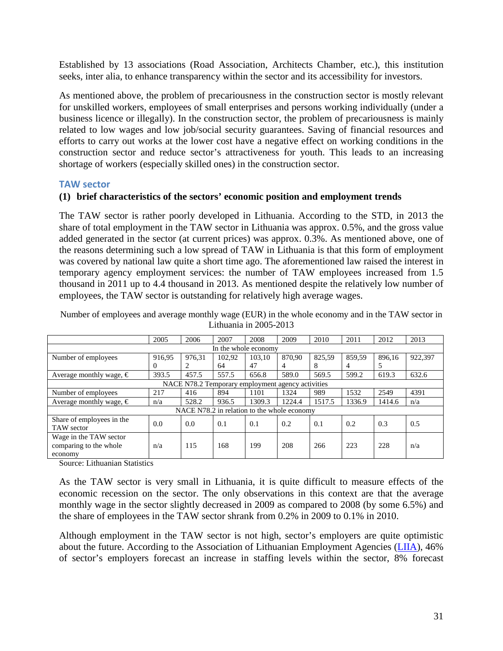Established by 13 associations (Road Association, Architects Chamber, etc.), this institution seeks, inter alia, to enhance transparency within the sector and its accessibility for investors.

As mentioned above, the problem of precariousness in the construction sector is mostly relevant for unskilled workers, employees of small enterprises and persons working individually (under a business licence or illegally). In the construction sector, the problem of precariousness is mainly related to low wages and low job/social security guarantees. Saving of financial resources and efforts to carry out works at the lower cost have a negative effect on working conditions in the construction sector and reduce sector's attractiveness for youth. This leads to an increasing shortage of workers (especially skilled ones) in the construction sector.

#### <span id="page-32-0"></span>**TAW sector**

#### **(1) brief characteristics of the sectors' economic position and employment trends**

The TAW sector is rather poorly developed in Lithuania. According to the STD, in 2013 the share of total employment in the TAW sector in Lithuania was approx. 0.5%, and the gross value added generated in the sector (at current prices) was approx. 0.3%. As mentioned above, one of the reasons determining such a low spread of TAW in Lithuania is that this form of employment was covered by national law quite a short time ago. The aforementioned law raised the interest in temporary agency employment services: the number of TAW employees increased from 1.5 thousand in 2011 up to 4.4 thousand in 2013. As mentioned despite the relatively low number of employees, the TAW sector is outstanding for relatively high average wages.

|                                                             | 2005     | 2006   | 2007   | 2008                                        | 2009   | 2010   | 2011   | 2012   | 2013    |  |
|-------------------------------------------------------------|----------|--------|--------|---------------------------------------------|--------|--------|--------|--------|---------|--|
|                                                             |          |        |        | In the whole economy                        |        |        |        |        |         |  |
| Number of employees                                         | 916.95   | 976.31 | 102.92 | 103.10                                      | 870.90 | 825,59 | 859.59 | 896.16 | 922,397 |  |
|                                                             | $\theta$ | 2      | 64     | 47                                          | 4      | 8      | 4      | 5      |         |  |
| Average monthly wage, $\epsilon$                            | 393.5    | 457.5  | 557.5  | 656.8                                       | 589.0  | 569.5  | 599.2  | 619.3  | 632.6   |  |
| NACE N78.2 Temporary employment agency activities           |          |        |        |                                             |        |        |        |        |         |  |
| Number of employees                                         | 217      | 416    | 894    | 1101                                        | 1324   | 989    | 1532   | 2549   | 4391    |  |
| Average monthly wage, $\epsilon$                            | n/a      | 528.2  | 936.5  | 1309.3                                      | 1224.4 | 1517.5 | 1336.9 | 1414.6 | n/a     |  |
|                                                             |          |        |        | NACE N78.2 in relation to the whole economy |        |        |        |        |         |  |
| Share of employees in the<br>TAW sector                     | 0.0      | 0.0    | 0.1    | 0.1                                         | 0.2    | 0.1    | 0.2    | 0.3    | 0.5     |  |
| Wage in the TAW sector<br>comparing to the whole<br>economy | n/a      | 115    | 168    | 199                                         | 208    | 266    | 223    | 228    | n/a     |  |

Number of employees and average monthly wage (EUR) in the whole economy and in the TAW sector in Lithuania in 2005-2013

Source: Lithuanian Statistics

As the TAW sector is very small in Lithuania, it is quite difficult to measure effects of the economic recession on the sector. The only observations in this context are that the average monthly wage in the sector slightly decreased in 2009 as compared to 2008 (by some 6.5%) and the share of employees in the TAW sector shrank from 0.2% in 2009 to 0.1% in 2010.

Although employment in the TAW sector is not high, sector's employers are quite optimistic about the future. According to the Association of Lithuanian Employment Agencies [\(LIIA\)](http://www.staffing.lt/), 46% of sector's employers forecast an increase in staffing levels within the sector, 8% forecast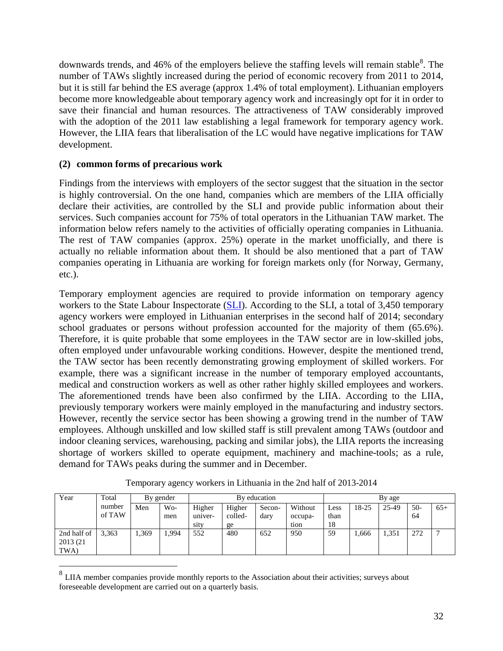downwards trends, and 46% of the employers believe the staffing levels will remain stable<sup>[8](#page-33-0)</sup>. The number of TAWs slightly increased during the period of economic recovery from 2011 to 2014, but it is still far behind the ES average (approx 1.4% of total employment). Lithuanian employers become more knowledgeable about temporary agency work and increasingly opt for it in order to save their financial and human resources. The attractiveness of TAW considerably improved with the adoption of the 2011 law establishing a legal framework for temporary agency work. However, the LIIA fears that liberalisation of the LC would have negative implications for TAW development.

#### **(2) common forms of precarious work**

 $\overline{a}$ 

Findings from the interviews with employers of the sector suggest that the situation in the sector is highly controversial. On the one hand, companies which are members of the LIIA officially declare their activities, are controlled by the SLI and provide public information about their services. Such companies account for 75% of total operators in the Lithuanian TAW market. The information below refers namely to the activities of officially operating companies in Lithuania. The rest of TAW companies (approx. 25%) operate in the market unofficially, and there is actually no reliable information about them. It should be also mentioned that a part of TAW companies operating in Lithuania are working for foreign markets only (for Norway, Germany, etc.).

Temporary employment agencies are required to provide information on temporary agency workers to the State Labour Inspectorate [\(SLI\)](http://www.vdi.lt/). According to the SLI, a total of 3,450 temporary agency workers were employed in Lithuanian enterprises in the second half of 2014; secondary school graduates or persons without profession accounted for the majority of them (65.6%). Therefore, it is quite probable that some employees in the TAW sector are in low-skilled jobs, often employed under unfavourable working conditions. However, despite the mentioned trend, the TAW sector has been recently demonstrating growing employment of skilled workers. For example, there was a significant increase in the number of temporary employed accountants, medical and construction workers as well as other rather highly skilled employees and workers. The aforementioned trends have been also confirmed by the LIIA. According to the LIIA, previously temporary workers were mainly employed in the manufacturing and industry sectors. However, recently the service sector has been showing a growing trend in the number of TAW employees. Although unskilled and low skilled staff is still prevalent among TAWs (outdoor and indoor cleaning services, warehousing, packing and similar jobs), the LIIA reports the increasing shortage of workers skilled to operate equipment, machinery and machine-tools; as a rule, demand for TAWs peaks during the summer and in December.

| Total  |       |      | By education |         |        |         | By age |       |       |       |       |
|--------|-------|------|--------------|---------|--------|---------|--------|-------|-------|-------|-------|
| number | Men   | Wo-  | Higher       | Higher  | Secon- | Without | Less   | 18-25 | 25-49 | $50-$ | $65+$ |
| of TAW |       | men  | univer-      | colled- | dary   | occupa- | than   |       |       | 64    |       |
|        |       |      | sity         | ge      |        | tion    | 18     |       |       |       |       |
| 3.363  | 1,369 | .994 | 552          | 480     | 652    | 950     | 59     | 1,666 | 1,351 | 272   | -     |
|        |       |      |              |         |        |         |        |       |       |       |       |
|        |       |      | By gender    |         |        |         |        |       |       |       |       |

Temporary agency workers in Lithuania in the 2nd half of 2013-2014

<span id="page-33-0"></span> $8$  LIIA member companies provide monthly reports to the Association about their activities; surveys about foreseeable development are carried out on a quarterly basis.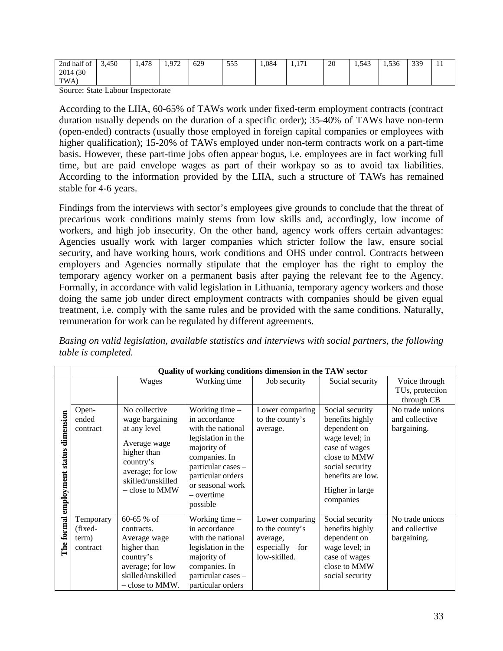| $\mathbf{r}$<br>$\sim$<br>∠nd<br>' half of | 3,450 | 170<br>1,4/0 | 972<br><br>ے ، ، | 629 | 555<br>JJJ | 1,084 | 171<br>1,1 <i>1</i> 1 | 20<br>and the contract of the | $-10$<br>1,545 | $\Gamma \cap \Gamma$<br>1.536 | 330<br>-- |  |
|--------------------------------------------|-------|--------------|------------------|-----|------------|-------|-----------------------|-------------------------------|----------------|-------------------------------|-----------|--|
| (30)<br>2014                               |       |              |                  |     |            |       |                       |                               |                |                               |           |  |
| TWA.                                       |       |              |                  |     |            |       |                       |                               |                |                               |           |  |

Source: State Labour Inspectorate

According to the LIIA, 60-65% of TAWs work under fixed-term employment contracts (contract duration usually depends on the duration of a specific order); 35-40% of TAWs have non-term (open-ended) contracts (usually those employed in foreign capital companies or employees with higher qualification); 15-20% of TAWs employed under non-term contracts work on a part-time basis. However, these part-time jobs often appear bogus, i.e. employees are in fact working full time, but are paid envelope wages as part of their workpay so as to avoid tax liabilities. According to the information provided by the LIIA, such a structure of TAWs has remained stable for 4-6 years.

Findings from the interviews with sector's employees give grounds to conclude that the threat of precarious work conditions mainly stems from low skills and, accordingly, low income of workers, and high job insecurity. On the other hand, agency work offers certain advantages: Agencies usually work with larger companies which stricter follow the law, ensure social security, and have working hours, work conditions and OHS under control. Contracts between employers and Agencies normally stipulate that the employer has the right to employ the temporary agency worker on a permanent basis after paying the relevant fee to the Agency. Formally, in accordance with valid legislation in Lithuania, temporary agency workers and those doing the same job under direct employment contracts with companies should be given equal treatment, i.e. comply with the same rules and be provided with the same conditions. Naturally, remuneration for work can be regulated by different agreements.

*Basing on valid legislation, available statistics and interviews with social partners, the following table is completed.* 

|                                   | Quality of working conditions dimension in the TAW sector |                                                                                                                                                         |                                                                                                                                                                                                       |                                                                                                    |                                                                                                                                                                               |                                                  |  |  |
|-----------------------------------|-----------------------------------------------------------|---------------------------------------------------------------------------------------------------------------------------------------------------------|-------------------------------------------------------------------------------------------------------------------------------------------------------------------------------------------------------|----------------------------------------------------------------------------------------------------|-------------------------------------------------------------------------------------------------------------------------------------------------------------------------------|--------------------------------------------------|--|--|
|                                   |                                                           | Wages                                                                                                                                                   | Working time                                                                                                                                                                                          | Job security                                                                                       | Social security                                                                                                                                                               | Voice through<br>TUs, protection<br>through CB   |  |  |
| dimension<br>status<br>employment | Open-<br>ended<br>contract                                | No collective<br>wage bargaining<br>at any level<br>Average wage<br>higher than<br>country's<br>average; for low<br>skilled/unskilled<br>– close to MMW | Working time $-$<br>in accordance<br>with the national<br>legislation in the<br>majority of<br>companies. In<br>particular cases -<br>particular orders<br>or seasonal work<br>– overtime<br>possible | Lower comparing<br>to the county's<br>average.                                                     | Social security<br>benefits highly<br>dependent on<br>wage level; in<br>case of wages<br>close to MMW<br>social security<br>benefits are low.<br>Higher in large<br>companies | No trade unions<br>and collective<br>bargaining. |  |  |
| The formal                        | Temporary<br>(fixed-<br>term)<br>contract                 | $60-65%$ of<br>contracts.<br>Average wage<br>higher than<br>country's<br>average; for low<br>skilled/unskilled<br>- close to MMW.                       | Working time $-$<br>in accordance<br>with the national<br>legislation in the<br>majority of<br>companies. In<br>particular cases -<br>particular orders                                               | Lower comparing<br>to the county's<br>average,<br>$\text{especially} - \text{for}$<br>low-skilled. | Social security<br>benefits highly<br>dependent on<br>wage level; in<br>case of wages<br>close to MMW<br>social security                                                      | No trade unions<br>and collective<br>bargaining. |  |  |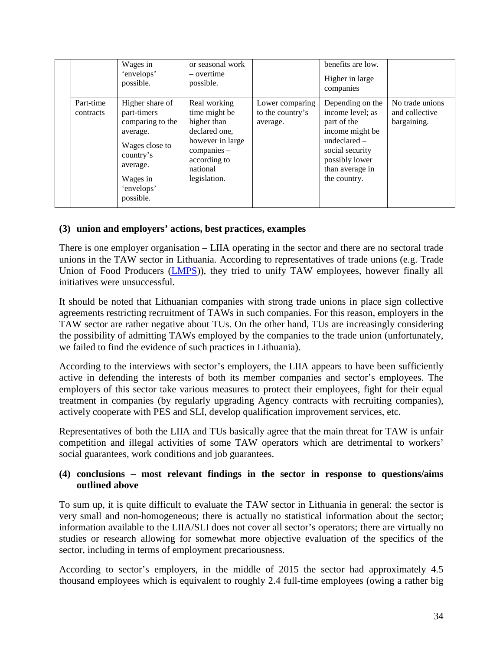|                        | Wages in<br>'envelops'<br>possible.                                                                                                              | or seasonal work<br>$-$ overtime<br>possible.                                                                                                  |                                                 | benefits are low.<br>Higher in large<br>companies                                                                                                                |                                                  |
|------------------------|--------------------------------------------------------------------------------------------------------------------------------------------------|------------------------------------------------------------------------------------------------------------------------------------------------|-------------------------------------------------|------------------------------------------------------------------------------------------------------------------------------------------------------------------|--------------------------------------------------|
| Part-time<br>contracts | Higher share of<br>part-timers<br>comparing to the<br>average.<br>Wages close to<br>country's<br>average.<br>Wages in<br>'envelops'<br>possible. | Real working<br>time might be<br>higher than<br>declared one,<br>however in large<br>$comparies -$<br>according to<br>national<br>legislation. | Lower comparing<br>to the country's<br>average. | Depending on the<br>income level; as<br>part of the<br>income might be<br>undeclared $-$<br>social security<br>possibly lower<br>than average in<br>the country. | No trade unions<br>and collective<br>bargaining. |

#### **(3) union and employers' actions, best practices, examples**

There is one employer organisation – LIIA operating in the sector and there are no sectoral trade unions in the TAW sector in Lithuania. According to representatives of trade unions (e.g. Trade Union of Food Producers [\(LMPS\)](http://www.maistprofsajunga.lt/)), they tried to unify TAW employees, however finally all initiatives were unsuccessful.

It should be noted that Lithuanian companies with strong trade unions in place sign collective agreements restricting recruitment of TAWs in such companies. For this reason, employers in the TAW sector are rather negative about TUs. On the other hand, TUs are increasingly considering the possibility of admitting TAWs employed by the companies to the trade union (unfortunately, we failed to find the evidence of such practices in Lithuania).

According to the interviews with sector's employers, the LIIA appears to have been sufficiently active in defending the interests of both its member companies and sector's employees. The employers of this sector take various measures to protect their employees, fight for their equal treatment in companies (by regularly upgrading Agency contracts with recruiting companies), actively cooperate with PES and SLI, develop qualification improvement services, etc.

Representatives of both the LIIA and TUs basically agree that the main threat for TAW is unfair competition and illegal activities of some TAW operators which are detrimental to workers' social guarantees, work conditions and job guarantees.

#### **(4) conclusions – most relevant findings in the sector in response to questions/aims outlined above**

To sum up, it is quite difficult to evaluate the TAW sector in Lithuania in general: the sector is very small and non-homogeneous; there is actually no statistical information about the sector; information available to the LIIA/SLI does not cover all sector's operators; there are virtually no studies or research allowing for somewhat more objective evaluation of the specifics of the sector, including in terms of employment precariousness.

According to sector's employers, in the middle of 2015 the sector had approximately 4.5 thousand employees which is equivalent to roughly 2.4 full-time employees (owing a rather big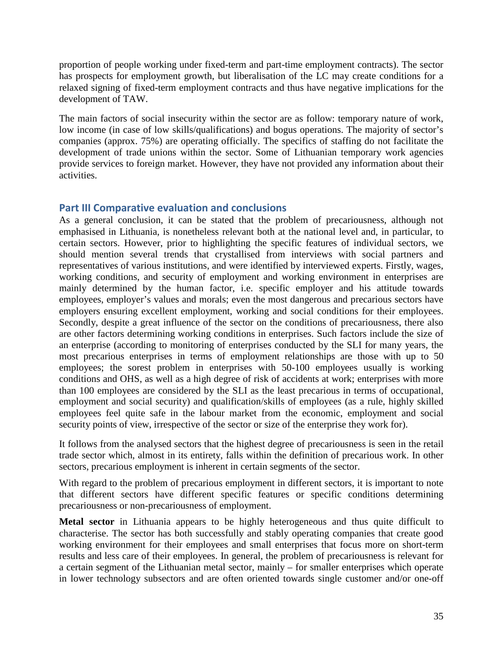proportion of people working under fixed-term and part-time employment contracts). The sector has prospects for employment growth, but liberalisation of the LC may create conditions for a relaxed signing of fixed-term employment contracts and thus have negative implications for the development of TAW.

The main factors of social insecurity within the sector are as follow: temporary nature of work, low income (in case of low skills/qualifications) and bogus operations. The majority of sector's companies (approx. 75%) are operating officially. The specifics of staffing do not facilitate the development of trade unions within the sector. Some of Lithuanian temporary work agencies provide services to foreign market. However, they have not provided any information about their activities.

#### <span id="page-36-0"></span>**Part III Comparative evaluation and conclusions**

As a general conclusion, it can be stated that the problem of precariousness, although not emphasised in Lithuania, is nonetheless relevant both at the national level and, in particular, to certain sectors. However, prior to highlighting the specific features of individual sectors, we should mention several trends that crystallised from interviews with social partners and representatives of various institutions, and were identified by interviewed experts. Firstly, wages, working conditions, and security of employment and working environment in enterprises are mainly determined by the human factor, i.e. specific employer and his attitude towards employees, employer's values and morals; even the most dangerous and precarious sectors have employers ensuring excellent employment, working and social conditions for their employees. Secondly, despite a great influence of the sector on the conditions of precariousness, there also are other factors determining working conditions in enterprises. Such factors include the size of an enterprise (according to monitoring of enterprises conducted by the SLI for many years, the most precarious enterprises in terms of employment relationships are those with up to 50 employees; the sorest problem in enterprises with 50-100 employees usually is working conditions and OHS, as well as a high degree of risk of accidents at work; enterprises with more than 100 employees are considered by the SLI as the least precarious in terms of occupational, employment and social security) and qualification/skills of employees (as a rule, highly skilled employees feel quite safe in the labour market from the economic, employment and social security points of view, irrespective of the sector or size of the enterprise they work for).

It follows from the analysed sectors that the highest degree of precariousness is seen in the retail trade sector which, almost in its entirety, falls within the definition of precarious work. In other sectors, precarious employment is inherent in certain segments of the sector.

With regard to the problem of precarious employment in different sectors, it is important to note that different sectors have different specific features or specific conditions determining precariousness or non-precariousness of employment.

**Metal sector** in Lithuania appears to be highly heterogeneous and thus quite difficult to characterise. The sector has both successfully and stably operating companies that create good working environment for their employees and small enterprises that focus more on short-term results and less care of their employees. In general, the problem of precariousness is relevant for a certain segment of the Lithuanian metal sector, mainly – for smaller enterprises which operate in lower technology subsectors and are often oriented towards single customer and/or one-off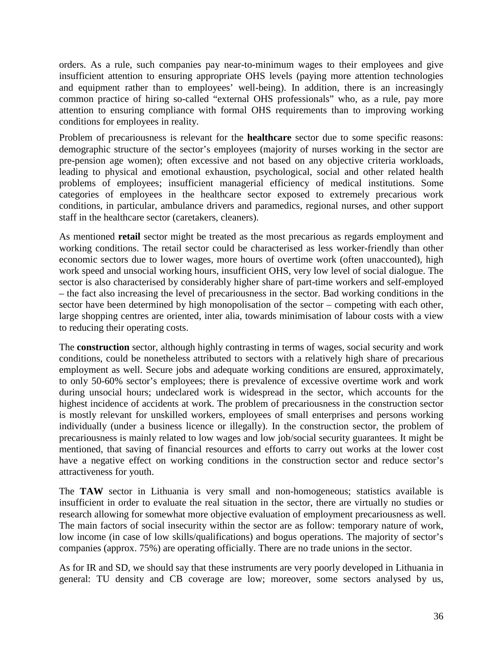orders. As a rule, such companies pay near-to-minimum wages to their employees and give insufficient attention to ensuring appropriate OHS levels (paying more attention technologies and equipment rather than to employees' well-being). In addition, there is an increasingly common practice of hiring so-called "external OHS professionals" who, as a rule, pay more attention to ensuring compliance with formal OHS requirements than to improving working conditions for employees in reality.

Problem of precariousness is relevant for the **healthcare** sector due to some specific reasons: demographic structure of the sector's employees (majority of nurses working in the sector are pre-pension age women); often excessive and not based on any objective criteria workloads, leading to physical and emotional exhaustion, psychological, social and other related health problems of employees; insufficient managerial efficiency of medical institutions. Some categories of employees in the healthcare sector exposed to extremely precarious work conditions, in particular, ambulance drivers and paramedics, regional nurses, and other support staff in the healthcare sector (caretakers, cleaners).

As mentioned **retail** sector might be treated as the most precarious as regards employment and working conditions. The retail sector could be characterised as less worker-friendly than other economic sectors due to lower wages, more hours of overtime work (often unaccounted), high work speed and unsocial working hours, insufficient OHS, very low level of social dialogue. The sector is also characterised by considerably higher share of part-time workers and self-employed – the fact also increasing the level of precariousness in the sector. Bad working conditions in the sector have been determined by high monopolisation of the sector – competing with each other, large shopping centres are oriented, inter alia, towards minimisation of labour costs with a view to reducing their operating costs.

The **construction** sector, although highly contrasting in terms of wages, social security and work conditions, could be nonetheless attributed to sectors with a relatively high share of precarious employment as well. Secure jobs and adequate working conditions are ensured, approximately, to only 50-60% sector's employees; there is prevalence of excessive overtime work and work during unsocial hours; undeclared work is widespread in the sector, which accounts for the highest incidence of accidents at work. The problem of precariousness in the construction sector is mostly relevant for unskilled workers, employees of small enterprises and persons working individually (under a business licence or illegally). In the construction sector, the problem of precariousness is mainly related to low wages and low job/social security guarantees. It might be mentioned, that saving of financial resources and efforts to carry out works at the lower cost have a negative effect on working conditions in the construction sector and reduce sector's attractiveness for youth.

The **TAW** sector in Lithuania is very small and non-homogeneous; statistics available is insufficient in order to evaluate the real situation in the sector, there are virtually no studies or research allowing for somewhat more objective evaluation of employment precariousness as well. The main factors of social insecurity within the sector are as follow: temporary nature of work, low income (in case of low skills/qualifications) and bogus operations. The majority of sector's companies (approx. 75%) are operating officially. There are no trade unions in the sector.

As for IR and SD, we should say that these instruments are very poorly developed in Lithuania in general: TU density and CB coverage are low; moreover, some sectors analysed by us,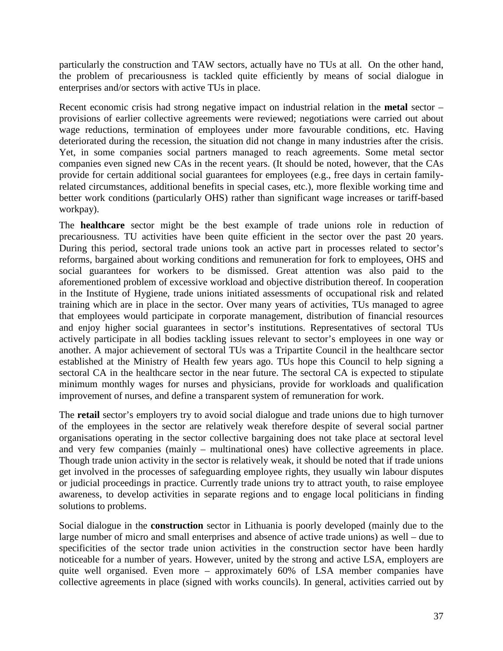particularly the construction and TAW sectors, actually have no TUs at all. On the other hand, the problem of precariousness is tackled quite efficiently by means of social dialogue in enterprises and/or sectors with active TUs in place.

Recent economic crisis had strong negative impact on industrial relation in the **metal** sector – provisions of earlier collective agreements were reviewed; negotiations were carried out about wage reductions, termination of employees under more favourable conditions, etc. Having deteriorated during the recession, the situation did not change in many industries after the crisis. Yet, in some companies social partners managed to reach agreements. Some metal sector companies even signed new CAs in the recent years. (It should be noted, however, that the CAs provide for certain additional social guarantees for employees (e.g., free days in certain familyrelated circumstances, additional benefits in special cases, etc.), more flexible working time and better work conditions (particularly OHS) rather than significant wage increases or tariff-based workpay).

The **healthcare** sector might be the best example of trade unions role in reduction of precariousness. TU activities have been quite efficient in the sector over the past 20 years. During this period, sectoral trade unions took an active part in processes related to sector's reforms, bargained about working conditions and remuneration for fork to employees, OHS and social guarantees for workers to be dismissed. Great attention was also paid to the aforementioned problem of excessive workload and objective distribution thereof. In cooperation in the Institute of Hygiene, trade unions initiated assessments of occupational risk and related training which are in place in the sector. Over many years of activities, TUs managed to agree that employees would participate in corporate management, distribution of financial resources and enjoy higher social guarantees in sector's institutions. Representatives of sectoral TUs actively participate in all bodies tackling issues relevant to sector's employees in one way or another. A major achievement of sectoral TUs was a Tripartite Council in the healthcare sector established at the Ministry of Health few years ago. TUs hope this Council to help signing a sectoral CA in the healthcare sector in the near future. The sectoral CA is expected to stipulate minimum monthly wages for nurses and physicians, provide for workloads and qualification improvement of nurses, and define a transparent system of remuneration for work.

The **retail** sector's employers try to avoid social dialogue and trade unions due to high turnover of the employees in the sector are relatively weak therefore despite of several social partner organisations operating in the sector collective bargaining does not take place at sectoral level and very few companies (mainly – multinational ones) have collective agreements in place. Though trade union activity in the sector is relatively weak, it should be noted that if trade unions get involved in the processes of safeguarding employee rights, they usually win labour disputes or judicial proceedings in practice. Currently trade unions try to attract youth, to raise employee awareness, to develop activities in separate regions and to engage local politicians in finding solutions to problems.

Social dialogue in the **construction** sector in Lithuania is poorly developed (mainly due to the large number of micro and small enterprises and absence of active trade unions) as well – due to specificities of the sector trade union activities in the construction sector have been hardly noticeable for a number of years. However, united by the strong and active LSA, employers are quite well organised. Even more – approximately 60% of LSA member companies have collective agreements in place (signed with works councils). In general, activities carried out by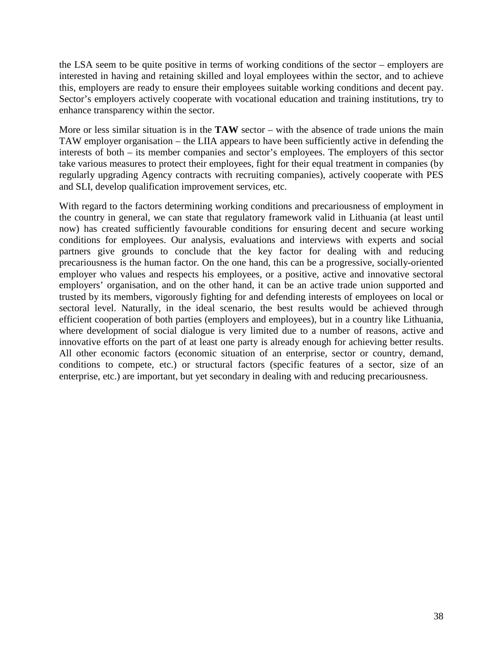the LSA seem to be quite positive in terms of working conditions of the sector – employers are interested in having and retaining skilled and loyal employees within the sector, and to achieve this, employers are ready to ensure their employees suitable working conditions and decent pay. Sector's employers actively cooperate with vocational education and training institutions, try to enhance transparency within the sector.

More or less similar situation is in the **TAW** sector – with the absence of trade unions the main TAW employer organisation – the LIIA appears to have been sufficiently active in defending the interests of both – its member companies and sector's employees. The employers of this sector take various measures to protect their employees, fight for their equal treatment in companies (by regularly upgrading Agency contracts with recruiting companies), actively cooperate with PES and SLI, develop qualification improvement services, etc.

With regard to the factors determining working conditions and precariousness of employment in the country in general, we can state that regulatory framework valid in Lithuania (at least until now) has created sufficiently favourable conditions for ensuring decent and secure working conditions for employees. Our analysis, evaluations and interviews with experts and social partners give grounds to conclude that the key factor for dealing with and reducing precariousness is the human factor. On the one hand, this can be a progressive, socially-oriented employer who values and respects his employees, or a positive, active and innovative sectoral employers' organisation, and on the other hand, it can be an active trade union supported and trusted by its members, vigorously fighting for and defending interests of employees on local or sectoral level. Naturally, in the ideal scenario, the best results would be achieved through efficient cooperation of both parties (employers and employees), but in a country like Lithuania, where development of social dialogue is very limited due to a number of reasons, active and innovative efforts on the part of at least one party is already enough for achieving better results. All other economic factors (economic situation of an enterprise, sector or country, demand, conditions to compete, etc.) or structural factors (specific features of a sector, size of an enterprise, etc.) are important, but yet secondary in dealing with and reducing precariousness.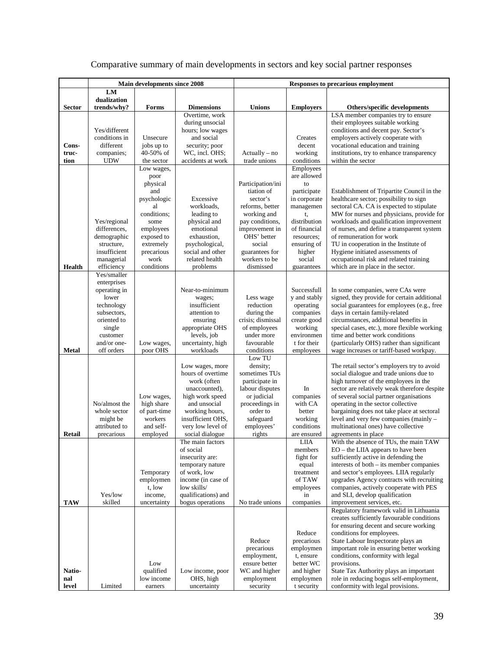| Comparative summary of main developments in sectors and key social partner responses |  |  |  |  |
|--------------------------------------------------------------------------------------|--|--|--|--|
|                                                                                      |  |  |  |  |

|                | <b>Main developments since 2008</b> |                            |                                     | <b>Responses to precarious employment</b> |                             |                                                                                       |  |
|----------------|-------------------------------------|----------------------------|-------------------------------------|-------------------------------------------|-----------------------------|---------------------------------------------------------------------------------------|--|
|                | LM                                  |                            |                                     |                                           |                             |                                                                                       |  |
|                | dualization                         |                            |                                     |                                           |                             |                                                                                       |  |
| Sector         | trends/why?                         | Forms                      | <b>Dimensions</b><br>Overtime, work | <b>Unions</b>                             | <b>Employers</b>            | Others/specific developments<br>LSA member companies try to ensure                    |  |
|                |                                     |                            | during unsocial                     |                                           |                             | their employees suitable working                                                      |  |
|                | Yes/different                       |                            | hours; low wages                    |                                           |                             | conditions and decent pay. Sector's                                                   |  |
|                | conditions in                       | Unsecure                   | and social                          |                                           | Creates                     | employers actively cooperate with                                                     |  |
| Cons-<br>truc- | different<br>companies;             | jobs up to<br>40-50% of    | security; poor<br>WC, incl. OHS;    | $Actually - no$                           | decent<br>working           | vocational education and training<br>institutions, try to enhance transparency        |  |
| tion           | <b>UDW</b>                          | the sector                 | accidents at work                   | trade unions                              | conditions                  | within the sector                                                                     |  |
|                |                                     | Low wages,                 |                                     |                                           | Employees                   |                                                                                       |  |
|                |                                     | poor                       |                                     |                                           | are allowed                 |                                                                                       |  |
|                |                                     | physical                   |                                     | Participation/ini                         | to                          |                                                                                       |  |
|                |                                     | and<br>psychologic         | Excessive                           | tiation of<br>sector's                    | participate<br>in corporate | Establishment of Tripartite Council in the<br>healthcare sector; possibility to sign  |  |
|                |                                     | al                         | workloads,                          | reforms, better                           | managemen                   | sectoral CA. CA is expected to stipulate                                              |  |
|                |                                     | conditions;                | leading to                          | working and                               | t,                          | MW for nurses and physicians, provide for                                             |  |
|                | Yes/regional                        | some                       | physical and                        | pay conditions,                           | distribution                | workloads and qualification improvement                                               |  |
|                | differences,<br>demographic         | employees<br>exposed to    | emotional<br>exhaustion,            | improvement in<br>OHS' better             | of financial<br>resources:  | of nurses, and define a transparent system<br>of remuneration for work                |  |
|                | structure,                          | extremely                  | psychological,                      | social                                    | ensuring of                 | TU in cooperation in the Institute of                                                 |  |
|                | insufficient                        | precarious                 | social and other                    | guarantees for                            | higher                      | Hygiene initiated assessments of                                                      |  |
| <b>Health</b>  | managerial                          | work                       | related health                      | workers to be<br>dismissed                | social                      | occupational risk and related training                                                |  |
|                | efficiency<br>Yes/smaller           | conditions                 | problems                            |                                           | guarantees                  | which are in place in the sector.                                                     |  |
|                | enterprises                         |                            |                                     |                                           |                             |                                                                                       |  |
|                | operating in                        |                            | Near-to-minimum                     |                                           | Successfull                 | In some companies, were CAs were                                                      |  |
|                | lower                               |                            | wages;<br>insufficient              | Less wage<br>reduction                    | y and stably                | signed, they provide for certain additional                                           |  |
|                | technology<br>subsectors,           |                            | attention to                        | during the                                | operating<br>companies      | social guarantees for employees (e.g., free<br>days in certain family-related         |  |
|                | oriented to                         |                            | ensuring                            | crisis; dismissal                         | create good                 | circumstances, additional benefits in                                                 |  |
|                | single                              |                            | appropriate OHS                     | of employees                              | working                     | special cases, etc.), more flexible working                                           |  |
|                | customer<br>and/or one-             |                            | levels, job<br>uncertainty, high    | under more<br>favourable                  | environmen<br>t for their   | time and better work conditions                                                       |  |
| <b>Metal</b>   | off orders                          | Low wages,<br>poor OHS     | workloads                           | conditions                                | employees                   | (particularly OHS) rather than significant<br>wage increases or tariff-based workpay. |  |
|                |                                     |                            |                                     | Low TU                                    |                             |                                                                                       |  |
|                |                                     |                            | Low wages, more                     | density;                                  |                             | The retail sector's employers try to avoid                                            |  |
|                |                                     |                            | hours of overtime<br>work (often    | sometimes TUs<br>participate in           |                             | social dialogue and trade unions due to<br>high turnover of the employees in the      |  |
|                |                                     |                            | unaccounted),                       | labour disputes                           | In                          | sector are relatively weak therefore despite                                          |  |
|                |                                     | Low wages,                 | high work speed                     | or judicial                               | companies                   | of several social partner organisations                                               |  |
|                | No/almost the<br>whole sector       | high share<br>of part-time | and unsocial                        | proceedings in<br>order to                | with CA<br>better           | operating in the sector collective<br>bargaining does not take place at sectoral      |  |
|                | might be                            | workers                    | working hours,<br>insufficient OHS, | safeguard                                 | working                     | level and very few companies (mainly -                                                |  |
|                | attributed to                       | and self-                  | very low level of                   | employees'                                | conditions                  | multinational ones) have collective                                                   |  |
| Retail         | precarious                          | employed                   | social dialogue                     | rights                                    | are ensured                 | agreements in place                                                                   |  |
|                |                                     |                            | The main factors<br>of social       |                                           | <b>LIIA</b><br>members      | With the absence of TUs, the main TAW<br>EO - the LIIA appears to have been           |  |
|                |                                     |                            | insecurity are:                     |                                           | fight for                   | sufficiently active in defending the                                                  |  |
|                |                                     |                            | temporary nature                    |                                           | equal                       | interests of both – its member companies                                              |  |
|                |                                     | Temporary                  | of work, low                        |                                           | treatment                   | and sector's employees. LIIA regularly                                                |  |
|                |                                     | employmen<br>t, low        | income (in case of<br>low skills/   |                                           | of TAW<br>employees         | upgrades Agency contracts with recruiting<br>companies, actively cooperate with PES   |  |
|                | Yes/low                             | income,                    | qualifications) and                 |                                           | in                          | and SLI, develop qualification                                                        |  |
| <b>TAW</b>     | skilled                             | uncertainty                | bogus operations                    | No trade unions                           | companies                   | improvement services, etc.                                                            |  |
|                |                                     |                            |                                     |                                           |                             | Regulatory framework valid in Lithuania                                               |  |
|                |                                     |                            |                                     |                                           |                             | creates sufficiently favourable conditions<br>for ensuring decent and secure working  |  |
|                |                                     |                            |                                     |                                           | Reduce                      | conditions for employees.                                                             |  |
|                |                                     |                            |                                     | Reduce                                    | precarious                  | State Labour Inspectorate plays an                                                    |  |
|                |                                     |                            |                                     | precarious                                | employmen                   | important role in ensuring better working                                             |  |
|                |                                     | Low                        |                                     | employment,<br>ensure better              | t, ensure<br>better WC      | conditions, conformity with legal<br>provisions.                                      |  |
| Natio-         |                                     | qualified                  | Low income, poor                    | WC and higher                             | and higher                  | State Tax Authority plays an important                                                |  |
| nal            |                                     | low income                 | OHS, high                           | employment                                | employmen                   | role in reducing bogus self-employment,                                               |  |
| level          | Limited                             | earners                    | uncertainty                         | security                                  | t security                  | conformity with legal provisions.                                                     |  |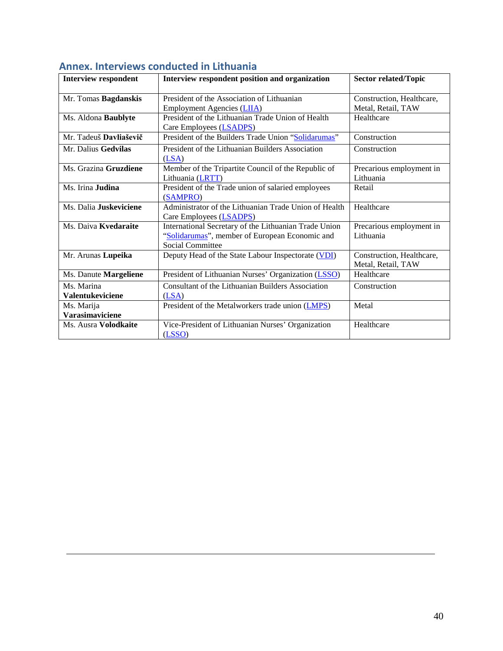| <b>Interview respondent</b> | Interview respondent position and organization        | <b>Sector related/Topic</b>                     |
|-----------------------------|-------------------------------------------------------|-------------------------------------------------|
|                             | President of the Association of Lithuanian            |                                                 |
| Mr. Tomas Bagdanskis        | <b>Employment Agencies (LIIA)</b>                     | Construction, Healthcare,<br>Metal, Retail, TAW |
| Ms. Aldona Baublyte         | President of the Lithuanian Trade Union of Health     | Healthcare                                      |
|                             | Care Employees (LSADPS)                               |                                                 |
| Mr. Tadeuš Davliaševič      | President of the Builders Trade Union "Solidarumas"   | Construction                                    |
| Mr. Dalius Gedvilas         | President of the Lithuanian Builders Association      | Construction                                    |
|                             | (LSA)                                                 |                                                 |
| Ms. Grazina Gruzdiene       | Member of the Tripartite Council of the Republic of   | Precarious employment in                        |
|                             | Lithuania (LRTT)                                      | Lithuania                                       |
| Ms. Irina Judina            | President of the Trade union of salaried employees    | Retail                                          |
|                             | (SAMPRO)                                              |                                                 |
| Ms. Dalia Juskeviciene      | Administrator of the Lithuanian Trade Union of Health | Healthcare                                      |
|                             | Care Employees (LSADPS)                               |                                                 |
| Ms. Daiva Kvedaraite        | International Secretary of the Lithuanian Trade Union | Precarious employment in                        |
|                             | "Solidarumas", member of European Economic and        | Lithuania                                       |
|                             | <b>Social Committee</b>                               |                                                 |
| Mr. Arunas Lupeika          | Deputy Head of the State Labour Inspectorate (VDI)    | Construction, Healthcare,                       |
|                             |                                                       | Metal, Retail, TAW                              |
| Ms. Danute Margeliene       | President of Lithuanian Nurses' Organization (LSSO)   | Healthcare                                      |
| Ms. Marina                  | Consultant of the Lithuanian Builders Association     | Construction                                    |
| Valentukeviciene            | (LSA)                                                 |                                                 |
| Ms. Marija                  | President of the Metalworkers trade union (LMPS)      | Metal                                           |
| <b>Varasimaviciene</b>      |                                                       |                                                 |
| Ms. Ausra Volodkaite        | Vice-President of Lithuanian Nurses' Organization     | Healthcare                                      |
|                             | (LSSO)                                                |                                                 |

#### <span id="page-41-0"></span>**Annex. Interviews conducted in Lithuania**